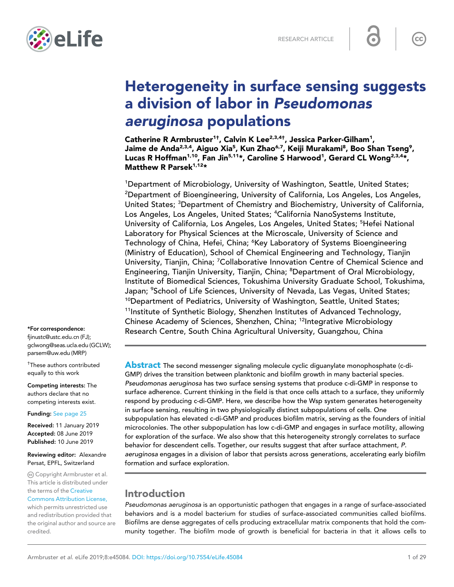

# Heterogeneity in surface sensing suggests a division of labor in Pseudomonas aeruginosa populations

Catherine R Armbruster $^{1\dagger}$ , Calvin K Lee $^{2,3,4\dagger}$ , Jessica Parker-Gilham $^1$ , Jaime de Anda<sup>2,3,4</sup>, Aiguo Xia<sup>5</sup>, Kun Zhao<sup>6,7</sup>, Keiji Murakami<sup>8</sup>, Boo Shan Tseng<sup>9</sup>, Lucas R Hoffman<sup>1,10</sup>, Fan Jin<sup>5,11</sup>\*, Caroline S Harwood<sup>1</sup>, Gerard CL Wong<sup>2,3,4</sup>\*, Matthew R Parsek $1,12*$ 

<sup>1</sup>Department of Microbiology, University of Washington, Seattle, United States; <sup>2</sup>Department of Bioengineering, University of California, Los Angeles, Los Angeles, United States; <sup>3</sup>Department of Chemistry and Biochemistry, University of California, Los Angeles, Los Angeles, United States; <sup>4</sup>California NanoSystems Institute, University of California, Los Angeles, Los Angeles, United States; <sup>5</sup>Hefei National Laboratory for Physical Sciences at the Microscale, University of Science and Technology of China, Hefei, China; <sup>6</sup>Key Laboratory of Systems Bioengineering (Ministry of Education), School of Chemical Engineering and Technology, Tianjin University, Tianjin, China; <sup>7</sup>Collaborative Innovation Centre of Chemical Science and Engineering, Tianjin University, Tianjin, China; <sup>8</sup>Department of Oral Microbiology, Institute of Biomedical Sciences, Tokushima University Graduate School, Tokushima, Japan; <sup>9</sup>School of Life Sciences, University of Nevada, Las Vegas, United States; <sup>10</sup>Department of Pediatrics, University of Washington, Seattle, United States;  $11$ Institute of Synthetic Biology, Shenzhen Institutes of Advanced Technology, Chinese Academy of Sciences, Shenzhen, China; <sup>12</sup>Integrative Microbiology Research Centre, South China Agricultural University, Guangzhou, China

\*For correspondence:

fjinustc@ustc.edu.cn (FJ); gclwong@seas.ucla.edu (GCLW); parsem@uw.edu (MRP)

† These authors contributed equally to this work

Competing interests: The authors declare that no competing interests exist.

Funding: [See page 25](#page-24-0)

Received: 11 January 2019 Accepted: 08 June 2019 Published: 10 June 2019

Reviewing editor: Alexandre Persat, EPFL, Switzerland

Copyright Armbruster et al. This article is distributed under the terms of the [Creative](http://creativecommons.org/licenses/by/4.0/)

[Commons Attribution License,](http://creativecommons.org/licenses/by/4.0/) which permits unrestricted use and redistribution provided that the original author and source are credited.

**Abstract** The second messenger signaling molecule cyclic diguanylate monophosphate (c-di-GMP) drives the transition between planktonic and biofilm growth in many bacterial species. Pseudomonas aeruginosa has two surface sensing systems that produce c-di-GMP in response to surface adherence. Current thinking in the field is that once cells attach to a surface, they uniformly respond by producing c-di-GMP. Here, we describe how the Wsp system generates heterogeneity in surface sensing, resulting in two physiologically distinct subpopulations of cells. One subpopulation has elevated c-di-GMP and produces biofilm matrix, serving as the founders of initial microcolonies. The other subpopulation has low c-di-GMP and engages in surface motility, allowing for exploration of the surface. We also show that this heterogeneity strongly correlates to surface behavior for descendent cells. Together, our results suggest that after surface attachment, P. aeruginosa engages in a division of labor that persists across generations, accelerating early biofilm formation and surface exploration.

# Introduction

*Pseudomonas aeruginosa* is an opportunistic pathogen that engages in a range of surface-associated behaviors and is a model bacterium for studies of surface-associated communities called biofilms. Biofilms are dense aggregates of cells producing extracellular matrix components that hold the community together. The biofilm mode of growth is beneficial for bacteria in that it allows cells to

 $cc$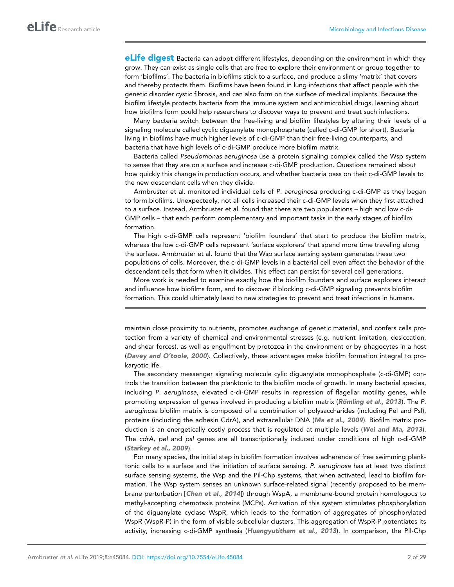**eLife digest** Bacteria can adopt different lifestyles, depending on the environment in which they grow. They can exist as single cells that are free to explore their environment or group together to form 'biofilms'. The bacteria in biofilms stick to a surface, and produce a slimy 'matrix' that covers and thereby protects them. Biofilms have been found in lung infections that affect people with the genetic disorder cystic fibrosis, and can also form on the surface of medical implants. Because the biofilm lifestyle protects bacteria from the immune system and antimicrobial drugs, learning about how biofilms form could help researchers to discover ways to prevent and treat such infections.

Many bacteria switch between the free-living and biofilm lifestyles by altering their levels of a signaling molecule called cyclic diguanylate monophosphate (called c-di-GMP for short). Bacteria living in biofilms have much higher levels of c-di-GMP than their free-living counterparts, and bacteria that have high levels of c-di-GMP produce more biofilm matrix.

Bacteria called *Pseudomonas aeruginosa* use a protein signaling complex called the Wsp system to sense that they are on a surface and increase c-di-GMP production. Questions remained about how quickly this change in production occurs, and whether bacteria pass on their c-di-GMP levels to the new descendant cells when they divide.

Armbruster et al. monitored individual cells of *P. aeruginosa* producing c-di-GMP as they began to form biofilms. Unexpectedly, not all cells increased their c-di-GMP levels when they first attached to a surface. Instead, Armbruster et al. found that there are two populations – high and low c-di-GMP cells – that each perform complementary and important tasks in the early stages of biofilm formation.

The high c-di-GMP cells represent 'biofilm founders' that start to produce the biofilm matrix, whereas the low c-di-GMP cells represent 'surface explorers' that spend more time traveling along the surface. Armbruster et al. found that the Wsp surface sensing system generates these two populations of cells. Moreover, the c-di-GMP levels in a bacterial cell even affect the behavior of the descendant cells that form when it divides. This effect can persist for several cell generations.

More work is needed to examine exactly how the biofilm founders and surface explorers interact and influence how biofilms form, and to discover if blocking c-di-GMP signaling prevents biofilm formation. This could ultimately lead to new strategies to prevent and treat infections in humans.

maintain close proximity to nutrients, promotes exchange of genetic material, and confers cells protection from a variety of chemical and environmental stresses (e.g. nutrient limitation, desiccation, and shear forces), as well as engulfment by protozoa in the environment or by phagocytes in a host ([Davey and O'toole, 2000](#page-25-0)). Collectively, these advantages make biofilm formation integral to prokaryotic life.

The secondary messenger signaling molecule cylic diguanylate monophosphate (c-di-GMP) controls the transition between the planktonic to the biofilm mode of growth. In many bacterial species, including *P. aeruginosa*, elevated c-di-GMP results in repression of flagellar motility genes, while promoting expression of genes involved in producing a biofilm matrix (Römling [et al., 2013](#page-27-0)). The P. *aeruginosa* biofilm matrix is composed of a combination of polysaccharides (including Pel and Psl), proteins (including the adhesin CdrA), and extracellular DNA ([Ma et al., 2009](#page-27-0)). Biofilm matrix production is an energetically costly process that is regulated at multiple levels ([Wei and Ma, 2013](#page-28-0)). The *cdrA, pel* and *psl* genes are all transcriptionally induced under conditions of high c-di-GMP ([Starkey et al., 2009](#page-27-0)).

For many species, the initial step in biofilm formation involves adherence of free swimming planktonic cells to a surface and the initiation of surface sensing. *P. aeruginosa* has at least two distinct surface sensing systems, the Wsp and the Pil-Chp systems, that when activated, lead to biofilm formation. The Wsp system senses an unknown surface-related signal (recently proposed to be membrane perturbation [[Chen et al., 2014](#page-25-0)]) through WspA, a membrane-bound protein homologous to methyl-accepting chemotaxis proteins (MCPs). Activation of this system stimulates phosphorylation of the diguanylate cyclase WspR, which leads to the formation of aggregates of phosphorylated WspR (WspR-P) in the form of visible subcellular clusters. This aggregation of WspR-P potentiates its activity, increasing c-di-GMP synthesis ([Huangyutitham et al., 2013](#page-26-0)). In comparison, the Pil-Chp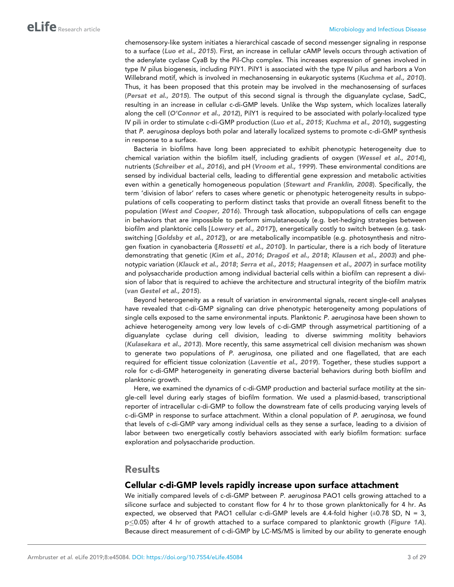chemosensory-like system initiates a hierarchical cascade of second messenger signaling in response to a surface ([Luo et al., 2015](#page-27-0)). First, an increase in cellular cAMP levels occurs through activation of the adenylate cyclase CyaB by the Pil-Chp complex. This increases expression of genes involved in type IV pilus biogenesis, including PilY1. PilY1 is associated with the type IV pilus and harbors a Von Willebrand motif, which is involved in mechanosensing in eukaryotic systems ([Kuchma et al., 2010](#page-26-0)). Thus, it has been proposed that this protein may be involved in the mechanosensing of surfaces ([Persat et al., 2015](#page-27-0)). The output of this second signal is through the diguanylate cyclase, SadC, resulting in an increase in cellular c-di-GMP levels. Unlike the Wsp system, which localizes laterally along the cell ([O'Connor et al., 2012](#page-27-0)), PilY1 is required to be associated with polarly-localized type IV pili in order to stimulate c-di-GMP production ([Luo et al., 2015](#page-27-0); [Kuchma et al., 2010](#page-26-0)), suggesting that *P. aeruginosa* deploys both polar and laterally localized systems to promote c-di-GMP synthesis in response to a surface.

Bacteria in biofilms have long been appreciated to exhibit phenotypic heterogeneity due to chemical variation within the biofilm itself, including gradients of oxygen ([Wessel et al., 2014](#page-28-0)), nutrients ([Schreiber et al., 2016](#page-27-0)), and pH ([Vroom et al., 1999](#page-28-0)). These environmental conditions are sensed by individual bacterial cells, leading to differential gene expression and metabolic activities even within a genetically homogeneous population ([Stewart and Franklin, 2008](#page-28-0)). Specifically, the term 'division of labor' refers to cases where genetic or phenotypic heterogeneity results in subpopulations of cells cooperating to perform distinct tasks that provide an overall fitness benefit to the population ([West and Cooper, 2016](#page-28-0)). Through task allocation, subpopulations of cells can engage in behaviors that are impossible to perform simulataneously (e.g. bet-hedging strategies between biofilm and planktonic cells [[Lowery et al., 2017](#page-27-0)]), energetically costly to switch between (e.g. taskswitching [[Goldsby et al., 2012](#page-26-0)]), or are metabolically incompatible (e.g. photosynthesis and nitrogen fixation in cyanobacteria ([[Rossetti et al., 2010](#page-27-0)]). In particular, there is a rich body of literature demonstrating that genetic ([Kim et al., 2016](#page-26-0); Dragoš et [al., 2018](#page-26-0); [Klausen et al., 2003](#page-26-0)) and phe-notypic variation ([Klauck et al., 2018](#page-26-0); [Serra et al., 2015](#page-27-0); [Haagensen et al., 2007](#page-26-0)) in surface motility and polysaccharide production among individual bacterial cells within a biofilm can represent a division of labor that is required to achieve the architecture and structural integrity of the biofilm matrix ([van Gestel et al., 2015](#page-28-0)).

Beyond heterogeneity as a result of variation in environmental signals, recent single-cell analyses have revealed that c-di-GMP signaling can drive phenotypic heterogeneity among populations of single cells exposed to the same environmental inputs. Planktonic *P. aeruginosa* have been shown to achieve heterogeneity among very low levels of c-di-GMP through assymetrical partitioning of a diguanylate cyclase during cell division, leading to diverse swimming molitity behaviors ([Kulasekara et al., 2013](#page-27-0)). More recently, this same assymetrical cell division mechanism was shown to generate two populations of *P. aeruginosa*, one piliated and one flagellated, that are each required for efficient tissue colonization ([Laventie et al., 2019](#page-27-0)). Together, these studies support a role for c-di-GMP heterogeneity in generating diverse bacterial behaviors during both biofilm and planktonic growth.

Here, we examined the dynamics of c-di-GMP production and bacterial surface motility at the single-cell level during early stages of biofilm formation. We used a plasmid-based, transcriptional reporter of intracellular c-di-GMP to follow the downstream fate of cells producing varying levels of c-di-GMP in response to surface attachment. Within a clonal population of *P. aeruginosa*, we found that levels of c-di-GMP vary among individual cells as they sense a surface, leading to a division of labor between two energetically costly behaviors associated with early biofilm formation: surface exploration and polysaccharide production.

### **Results**

#### Cellular c-di-GMP levels rapidly increase upon surface attachment

We initially compared levels of c-di-GMP between *P. aeruginosa* PAO1 cells growing attached to a silicone surface and subjected to constant flow for 4 hr to those grown planktonically for 4 hr. As expected, we observed that PAO1 cellular c-di-GMP levels are 4.4-fold higher  $(\pm 0.78 \text{ SD}, \text{N} = 3,$  $p \le 0.05$ ) after 4 hr of growth attached to a surface compared to planktonic growth ([Figure 1A](#page-3-0)). Because direct measurement of c-di-GMP by LC-MS/MS is limited by our ability to generate enough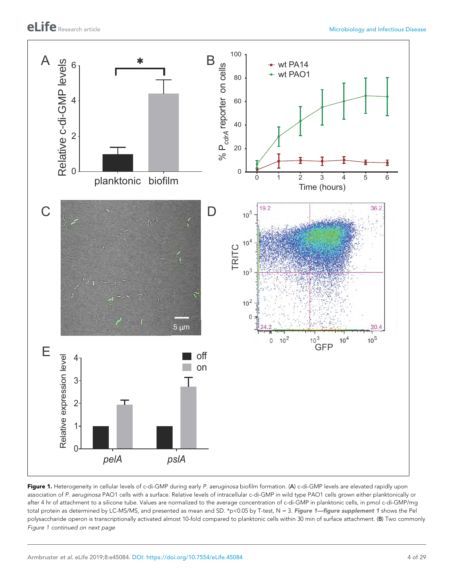<span id="page-3-0"></span>

Figure 1. Heterogeneity in cellular levels of c-di-GMP during early P. aeruginosa biofilm formation. (A) c-di-GMP levels are elevated rapidly upon association of *P. aeruginosa* PAO1 cells with a surface. Relative levels of intracellular c-di-GMP in wild type PAO1 cells grown either planktonically or after 4 hr of attachment to a silicone tube. Values are normalized to the average concentration of c-di-GMP in planktonic cells, in pmol c-di-GMP/mg total protein as determined by LC-MS/MS, and presented as mean and SD. \*p<0.05 by T-test, N = 3. [Figure 1—figure supplement 1](#page-4-0) shows the Pel polysaccharide operon is transcriptionally activated almost 10-fold compared to planktonic cells within 30 min of surface attachment. (B) Two commonly *Figure 1 continued on next page*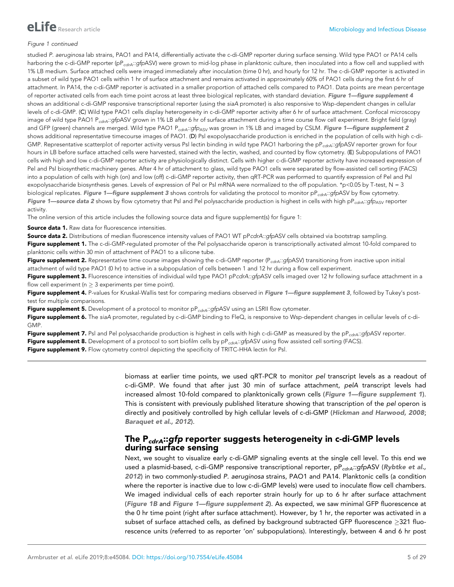#### <span id="page-4-0"></span>*Figure 1 continued*

studied *P. aeruginosa* lab strains, PAO1 and PA14, differentially activate the c-di-GMP reporter during surface sensing. Wild type PAO1 or PA14 cells harboring the c-di-GMP reporter (pP*cdrA::gfp*ASV) were grown to mid-log phase in planktonic culture, then inoculated into a flow cell and supplied with 1% LB medium. Surface attached cells were imaged immediately after inoculation (time 0 hr), and hourly for 12 hr. The c-di-GMP reporter is activated in a subset of wild type PAO1 cells within 1 hr of surface attachment and remains activated in approximately 60% of PAO1 cells during the first 6 hr of attachment. In PA14, the c-di-GMP reporter is activated in a smaller proportion of attached cells compared to PAO1. Data points are mean percentage of reporter activated cells from each time point across at least three biological replicates, with standard deviation. Figure 1—figure supplement 4 shows an additional c-di-GMP responsive transcriptional reporter (using the *siaA* promoter) is also responsive to Wsp-dependent changes in cellular levels of c-di-GMP. (C) Wild type PAO1 cells display heterogeneity in c-di-GMP reporter activity after 6 hr of surface attachment. Confocal microscopy image of wild type PAO1 P*cdrA::gfp*ASV grown in 1% LB after 6 hr of surface attachment during a time course flow cell experiment. Bright field (gray) and GFP (green) channels are merged. Wild type PAO1 P<sub>cdrA</sub>::gfp<sub>ASV</sub> was grown in 1% LB and imaged by CSLM. Figure 1—figure supplement 2 shows additional representative timecourse images of PAO1. (D) Psl exopolysaccharide production is enriched in the population of cells with high c-di-GMP. Representative scatterplot of reporter activity versus Psl lectin binding in wild type PAO1 harboring the pP<sub>cdrA</sub>::gfpASV reporter grown for four hours in LB before surface attached cells were harvested, stained with the lectin, washed, and counted by flow cytometry. (E) Subpopulations of PAO1 cells with high and low c-di-GMP reporter activity are physiologically distinct. Cells with higher c-di-GMP reporter activity have increased expression of Pel and Psl biosynthetic machinery genes. After 4 hr of attachment to glass, wild type PAO1 cells were separated by flow-assisted cell sorting (FACS) into a population of cells with high (on) and low (off) c-di-GMP reporter activity, then qRT-PCR was performed to quantify expression of Pel and Psl exopolysaccharide biosynthesis genes. Levels of expression of Pel or Psl mRNA were normalized to the off population. \*p<0.05 by T-test, N = 3 biological replicates. Figure 1—figure supplement 3 shows controls for validating the protocol to monitor pP<sub>cdrA</sub>::gfpASV by flow cytometry. Figure 1—source data 2 shows by flow cytometry that Psl and Pel polysaccharide production is highest in cells with high pP<sub>cdrA</sub>::gfp<sub>ASV</sub> reporter activity.

The online version of this article includes the following source data and figure supplement(s) for figure 1:

Source data 1. Raw data for fluorescence intensities.

Source data 2. Distributions of median fluorescence intensity values of PAO1 WT pPcdrA::gfpASV cells obtained via bootstrap sampling. Figure supplement 1. The c-di-GMP-regulated promoter of the Pel polysaccharide operon is transcriptionally activated almost 10-fold compared to planktonic cells within 30 min of attachment of PAO1 to a silicone tube.

Figure supplement 2. Representative time course images showing the c-di-GMP reporter (P*cdrA::gfp*ASV) transitioning from inactive upon initial attachment of wild type PAO1 (0 hr) to active in a subpopulation of cells between 1 and 12 hr during a flow cell experiment.

Figure supplement 3. Fluorescence intensities of individual wild type PAO1 pPcdrA::gfpASV cells imaged over 12 hr following surface attachment in a flow cell experiment ( $n \geq 3$  experiments per time point).

Figure supplement 4. P-values for Kruskal-Wallis test for comparing medians observed in Figure 1—figure supplement 3, followed by Tukey's posttest for multiple comparisons.

Figure supplement 5. Development of a protocol to monitor pP<sub>cdrA</sub>::gfpASV using an LSRII flow cytometer.

Figure supplement 6. The siaA promoter, regulated by c-di-GMP binding to FleQ, is responsive to Wsp-dependent changes in cellular levels of c-di-GMP.

Figure supplement 7. Psl and Pel polysaccharide production is highest in cells with high c-di-GMP as measured by the pP<sub>cdrA</sub>::gfpASV reporter. Figure supplement 8. Development of a protocol to sort biofilm cells by pP<sub>cdrA</sub>::gfpASV using flow assisted cell sorting (FACS).

Figure supplement 9. Flow cytometry control depicting the specificity of TRITC-HHA lectin for Psl.

biomass at earlier time points, we used qRT-PCR to monitor *pel* transcript levels as a readout of c-di-GMP. We found that after just 30 min of surface attachment, *pelA* transcript levels had increased almost 10-fold compared to planktonically grown cells (Figure 1-figure supplement 1). This is consistent with previously published literature showing that transcription of the *pel* operon is directly and positively controlled by high cellular levels of c-di-GMP ([Hickman and Harwood, 2008](#page-26-0); [Baraquet et al., 2012](#page-25-0)).

#### The  $P_{cdrA}::gfp$  reporter suggests heterogeneity in c-di-GMP levels during surface sensing

Next, we sought to visualize early c-di-GMP signaling events at the single cell level. To this end we used a plasmid-based, c-di-GMP responsive transcriptional reporter, pP*cdrA::gfp*ASV ([Rybtke et al.,](#page-27-0) [2012](#page-27-0)) in two commonly-studied *P. aeruginosa* strains, PAO1 and PA14. Planktonic cells (a condition where the reporter is inactive due to low c-di-GMP levels) were used to inoculate flow cell chambers. We imaged individual cells of each reporter strain hourly for up to 6 hr after surface attachment ([Figure 1B](#page-3-0) and Figure 1—figure supplement 2). As expected, we saw minimal GFP fluorescence at the 0 hr time point (right after surface attachment). However, by 1 hr, the reporter was activated in a subset of surface attached cells, as defined by background subtracted GFP fluorescence  $\geq$ 321 fluorescence units (referred to as reporter 'on' subpopulations). Interestingly, between 4 and 6 hr post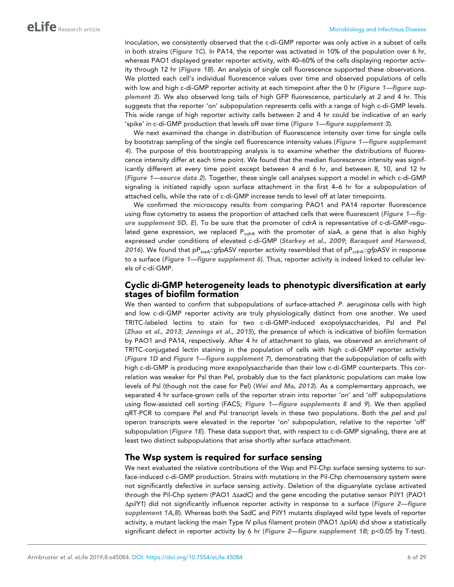inoculation, we consistently observed that the c-di-GMP reporter was only active in a subset of cells in both strains ([Figure 1C](#page-3-0)). In PA14, the reporter was activated in 10% of the population over 6 hr, whereas PAO1 displayed greater reporter activity, with 40–60% of the cells displaying reporter activity through 12 hr ([Figure 1B](#page-3-0)). An analysis of single cell fluorescence supported these observations. We plotted each cell's individual fluorescence values over time and observed populations of cells with low and high c-di-GMP reporter activity at each timepoint after the 0 hr ([Figure 1—figure sup](#page-4-0)[plement](#page-4-0) 3). We also observed long tails of high GFP fluorescence, particularly at 2 and 4 hr. This suggests that the reporter 'on' subpopulation represents cells with a range of high c-di-GMP levels. This wide range of high reporter activity cells between 2 and 4 hr could be indicative of an early 'spike' in c-di-GMP production that levels off over time ([Figure 1—figure supplement 3](#page-4-0)).

We next examined the change in distribution of fluorescence intensity over time for single cells by bootstrap sampling of the single cell fluorescence intensity values ([Figure 1—figure supplement](#page-4-0) [4](#page-4-0)). The purpose of this bootstrapping analysis is to examine whether the distributions of fluorescence intensity differ at each time point. We found that the median fluorescence intensity was significantly different at every time point except between 4 and 6 hr, and between 8, 10, and 12 hr ([Figure 1—source data 2](#page-4-0)). Together, these single cell analyses support a model in which c-di-GMP signaling is initiated rapidly upon surface attachment in the first 4–6 hr for a subpopulation of attached cells, while the rate of c-di-GMP increase tends to level off at later timepoints.

We confirmed the microscopy results from comparing PAO1 and PA14 reporter fluorescence using flow cytometry to assess the proportion of attached cells that were fluorescent ([Figure 1—fig](#page-4-0)ure [supplement 5D, E](#page-4-0)). To be sure that the promoter of *cdrA* is representative of c-di-GMP-regulated gene expression, we replaced P*cdrA* with the promoter of *siaA*, a gene that is also highly expressed under conditions of elevated c-di-GMP ([Starkey et al., 2009](#page-27-0); [Baraquet and Harwood,](#page-25-0) [2016](#page-25-0)). We found that pP*siaA::gfp*ASV reporter activity resembled that of pP*cdrA::gfp*ASV in response to a surface ([Figure 1—figure supplement 6](#page-4-0)). Thus, reporter activity is indeed linked to cellular levels of c-di-GMP.

#### Cyclic di-GMP heterogeneity leads to phenotypic diversification at early stages of biofilm formation

We then wanted to confirm that subpopulations of surface-attached *P. aeruginosa* cells with high and low c-di-GMP reporter activity are truly physiologically distinct from one another. We used TRITC-labeled lectins to stain for two c-di-GMP-induced exopolysaccharides, Psl and Pel ([Zhao et al., 2013](#page-28-0); [Jennings et al., 2015](#page-26-0)), the presence of which is indicative of biofilm formation by PAO1 and PA14, respectively. After 4 hr of attachment to glass, we observed an enrichment of TRITC-conjugated lectin staining in the population of cells with high c-di-GMP reporter activity ([Figure 1D](#page-3-0) and [Figure 1—figure supplement 7](#page-4-0)), demonstrating that the subpopulation of cells with high c-di-GMP is producing more exopolysaccharide than their low c-di-GMP counterparts. This correlation was weaker for Psl than Pel, probably due to the fact planktonic populations can make low levels of Psl (though not the case for Pel) ([Wei and Ma, 2013](#page-28-0)). As a complementary approach, we separated 4 hr surface-grown cells of the reporter strain into reporter 'on' and 'off' subpopulations using flow-assisted cell sorting (FACS; [Figure 1—figure supplements 8](#page-4-0) and [9](#page-4-0)). We then applied qRT-PCR to compare Pel and Psl transcript levels in these two populations. Both the *pel* and *psl* operon transcripts were elevated in the reporter 'on' subpopulation, relative to the reporter 'off' subpopulation ([Figure 1E](#page-3-0)). These data support that, with respect to c-di-GMP signaling, there are at least two distinct subpopulations that arise shortly after surface attachment.

### The Wsp system is required for surface sensing

We next evaluated the relative contributions of the Wsp and Pil-Chp surface sensing systems to surface-induced c-di-GMP production. Strains with mutations in the Pil-Chp chemosensory system were not significantly defective in surface sensing activity. Deletion of the diguanylate cyclase activated through the Pil-Chp system (PAO1 D*sadC*) and the gene encoding the putative sensor PilY1 (PAO1 D*pilY1*) did not significantly influence reporter activity in response to a surface ([Figure 2—figure](#page-6-0) [supplement](#page-6-0) 1A,B). Whereas both the SadC and PilY1 mutants displayed wild type levels of reporter activity, a mutant lacking the main Type IV pilus filament protein (PAO1 ApilA) did show a statistically significant defect in reporter activity by 6 hr ([Figure 2—figure supplement 1B](#page-6-0); p<0.05 by T-test).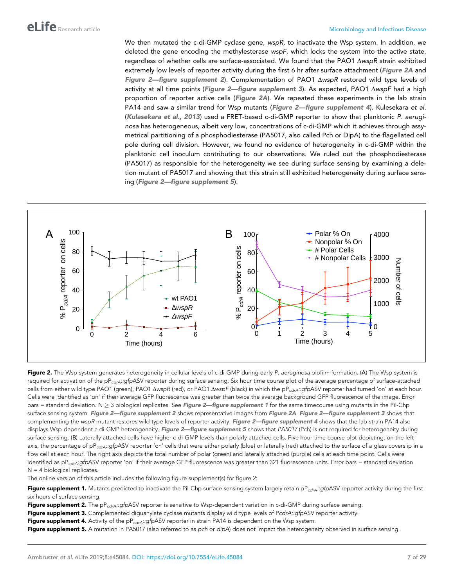<span id="page-6-0"></span>We then mutated the c-di-GMP cyclase gene, *wspR,* to inactivate the Wsp system. In addition, we deleted the gene encoding the methylesterase *wspF*, which locks the system into the active state, regardless of whether cells are surface-associated. We found that the PAO1  $\Delta$ wspR strain exhibited extremely low levels of reporter activity during the first 6 hr after surface attachment (Figure 2A and Figure 2-figure supplement 2). Complementation of PAO1 AwspR restored wild type levels of activity at all time points (Figure 2-figure supplement 3). As expected, PAO1 AwspF had a high proportion of reporter active cells (Figure 2A). We repeated these experiments in the lab strain PA14 and saw a similar trend for Wsp mutants (Figure 2—figure supplement 4). Kulesekara *et al*. ([Kulasekara et al., 2013](#page-27-0)) used a FRET-based c-di-GMP reporter to show that planktonic *P. aeruginosa* has heterogeneous, albeit very low, concentrations of c-di-GMP which it achieves through assymetrical partitioning of a phosphodiesterase (PA5017, also called Pch or DipA) to the flagellated cell pole during cell division. However, we found no evidence of heterogeneity in c-di-GMP within the planktonic cell inoculum contributing to our observations. We ruled out the phosphodiesterase (PA5017) as responsible for the heterogeneity we see during surface sensing by examining a deletion mutant of PA5017 and showing that this strain still exhibited heterogeneity during surface sensing (Figure 2—figure supplement 5).



Figure 2. The Wsp system generates heterogeneity in cellular levels of c-di-GMP during early *P. aeruginosa* biofilm formation. (A) The Wsp system is required for activation of the pP<sub>cdrA</sub>::gfpASV reporter during surface sensing. Six hour time course plot of the average percentage of surface-attached cells from either wild type PAO1 (green), PAO1 ΔwspR (red), or PAO1 ΔwspF (black) in which the pP<sub>cdrA</sub>::gfpASV reporter had turned 'on' at each hour. Cells were identified as 'on' if their average GFP fluorescence was greater than twice the average background GFP fluorescence of the image. Error bars = standard deviation. N  $\geq$  3 biological replicates. See Figure 2-figure supplement 1 for the same timecourse using mutants in the Pil-Chp surface sensing system. Figure 2—figure supplement 2 shows representative images from Figure 2A. Figure 2—figure supplement 3 shows that complementing the wspR mutant restores wild type levels of reporter activity. Figure 2—figure supplement 4 shows that the lab strain PA14 also displays Wsp-dependent c-di-GMP heterogeneity. Figure 2-figure supplement 5 shows that PA5017 (Pch) is not required for heterogeneity during surface sensing. (B) Laterally attached cells have higher c-di-GMP levels than polarly attached cells. Five hour time course plot depicting, on the left axis, the percentage of pP<sub>cdrA</sub>::gfpASV reporter 'on' cells that were either polarly (blue) or laterally (red) attached to the surface of a glass coverslip in a flow cell at each hour. The right axis depicts the total number of polar (green) and laterally attached (purple) cells at each time point. Cells were identified as pP<sub>cdrA</sub>:gfpASV reporter 'on' if their average GFP fluorescence was greater than 321 fluorescence units. Error bars = standard deviation.  $N = 4$  biological replicates.

The online version of this article includes the following figure supplement(s) for figure 2:

Figure supplement 1. Mutants predicted to inactivate the Pil-Chp surface sensing system largely retain pP<sub>cdrA</sub>::gfpASV reporter activity during the first six hours of surface sensing.

Figure supplement 2. The pP<sub>cdrA</sub>::gfpASV reporter is sensitive to Wsp-dependent variation in c-di-GMP during surface sensing.

Figure supplement 3. Complemented diguanylate cyclase mutants display wild type levels of PcdrA::gfpASV reporter activity.

Figure supplement 4. Activity of the pP<sub>cdrA</sub>::gfpASV reporter in strain PA14 is dependent on the Wsp system.

Figure supplement 5. A mutation in PA5017 (also referred to as *pch* or *dipA*) does not impact the heterogeneity observed in surface sensing.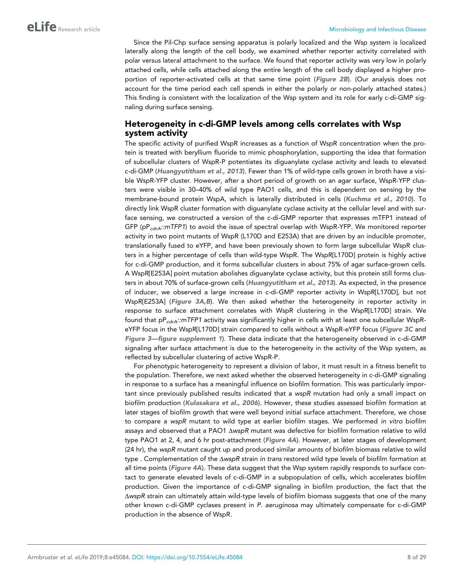Since the Pil-Chp surface sensing apparatus is polarly localized and the Wsp system is localized laterally along the length of the cell body, we examined whether reporter activity correlated with polar versus lateral attachment to the surface. We found that reporter activity was very low in polarly attached cells, while cells attached along the entire length of the cell body displayed a higher proportion of reporter-activated cells at that same time point ([Figure 2B](#page-6-0)). (Our analysis does not account for the time period each cell spends in either the polarly or non-polarly attached states.) This finding is consistent with the localization of the Wsp system and its role for early c-di-GMP signaling during surface sensing.

### Heterogeneity in c-di-GMP levels among cells correlates with Wsp system activity

The specific activity of purified WspR increases as a function of WspR concentration when the protein is treated with beryllium fluoride to mimic phosphorylation, supporting the idea that formation of subcellular clusters of WspR-P potentiates its diguanylate cyclase activity and leads to elevated c-di-GMP ([Huangyutitham et al., 2013](#page-26-0)). Fewer than 1% of wild-type cells grown in broth have a visible WspR-YFP cluster. However, after a short period of growth on an agar surface, WspR-YFP clusters were visible in 30–40% of wild type PAO1 cells, and this is dependent on sensing by the membrane-bound protein WspA, which is laterally distributed in cells ([Kuchma et al., 2010](#page-26-0)). To directly link WspR cluster formation with diguanylate cyclase activity at the cellular level and with surface sensing, we constructed a version of the c-di-GMP reporter that expresses mTFP1 instead of GFP (pP*cdrA::mTFP1*) to avoid the issue of spectral overlap with WspR-YFP. We monitored reporter activity in two point mutants of WspR (L170D and E253A) that are driven by an inducible promoter, translationally fused to eYFP, and have been previously shown to form large subcellular WspR clusters in a higher percentage of cells than wild-type WspR. The WspR[L170D] protein is highly active for c-di-GMP production, and it forms subcellular clusters in about 75% of agar surface-grown cells. A WspR[E253A] point mutation abolishes diguanylate cyclase activity, but this protein still forms clusters in about 70% of surface-grown cells ([Huangyutitham et al., 2013](#page-26-0)). As expected, in the presence of inducer, we observed a large increase in c-di-GMP reporter activity in WspR[L170D], but not WspR[E253A] ([Figure 3A,B](#page-8-0)). We then asked whether the heterogeneity in reporter activity in response to surface attachment correlates with WspR clustering in the WspR[L170D] strain. We found that pP*cdrA::mTFP1* activity was significantly higher in cells with at least one subcellular WspR-eYFP focus in the WspR[L170D] strain compared to cells without a WspR-eYFP focus ([Figure 3C](#page-8-0) and [Figure 3—figure supplement 1](#page-9-0)). These data indicate that the heterogeneity observed in c-di-GMP signaling after surface attachment is due to the heterogeneity in the activity of the Wsp system, as reflected by subcellular clustering of active WspR-P.

For phenotypic heterogeneity to represent a division of labor, it must result in a fitness benefit to the population. Therefore, we next asked whether the observed heterogeneity in c-di-GMP signaling in response to a surface has a meaningful influence on biofilm formation. This was particularly important since previously published results indicated that a *wspR* mutation had only a small impact on biofilm production ([Kulasakara et al., 2006](#page-26-0)). However, these studies assessed biofilm formation at later stages of biofilm growth that were well beyond initial surface attachment. Therefore, we chose to compare a *wspR* mutant to wild type at earlier biofilm stages. We performed *in vitro* biofilm assays and observed that a PAO1 D*wspR* mutant was defective for biofilm formation relative to wild type PAO1 at 2, 4, and 6 hr post-attachment ([Figure 4A](#page-10-0)). However, at later stages of development (24 hr), the *wspR* mutant caught up and produced similar amounts of biofilm biomass relative to wild type . Complementation of the D*wspR* strain *in trans* restored wild type levels of biofilm formation at all time points ([Figure 4A](#page-10-0)). These data suggest that the Wsp system rapidly responds to surface contact to generate elevated levels of c-di-GMP in a subpopulation of cells, which accelerates biofilm production. Given the importance of c-di-GMP signaling in biofilm production, the fact that the D*wspR* strain can ultimately attain wild-type levels of biofilm biomass suggests that one of the many other known c-di-GMP cyclases present in *P. aeruginosa* may ultimately compensate for c-di-GMP production in the absence of WspR.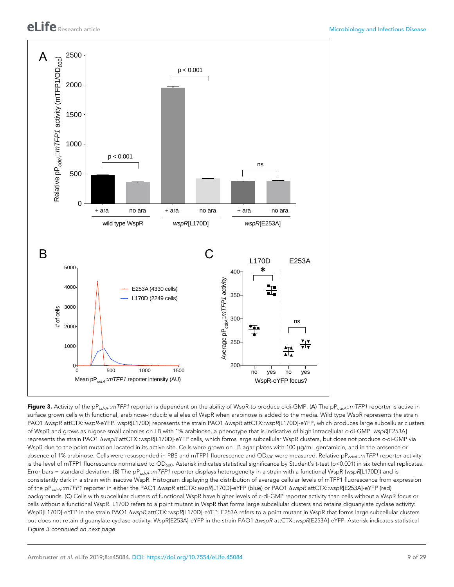<span id="page-8-0"></span>

Figure 3. Activity of the pP*cdrA*::*mTFP1* reporter is dependent on the ability of WspR to produce c-di-GMP. (A) The pP*cdrA::mTFP1* reporter is active in surface grown cells with functional, arabinose-inducible alleles of WspR when arabinose is added to the media. Wild type WspR represents the strain PAO1 AwspR attCTX::wspR-eYFP. wspR[L170D] represents the strain PAO1 AwspR attCTX::wspR[L170D]-eYFP, which produces large subcellular clusters of WspR and grows as rugose small colonies on LB with 1% arabinose, a phenotype that is indicative of high intracellular c-di-GMP. *wspR*[E253A] represents the strain PAO1 D*wspR* attCTX::*wspR*[L170D]-eYFP cells, which forms large subcellular WspR clusters, but does not produce c-di-GMP via WspR due to the point mutation located in its active site. Cells were grown on LB agar plates with 100 µg/mL gentamicin, and in the presence or absence of 1% arabinose. Cells were resuspended in PBS and mTFP1 fluorescence and OD<sub>600</sub> were measured. Relative pP<sub>cdrA</sub>::mTFP1 reporter activity is the level of mTFP1 fluorescence normalized to  $OD_{600}$ . Asterisk indicates statistical significance by Student's t-test (p<0.001) in six technical replicates. Error bars = standard deviation. (B) The pP*cdrA::mTFP1* reporter displays heterogeneity in a strain with a functional WspR (*wspR*[L170D]) and is consistently dark in a strain with inactive WspR. Histogram displaying the distribution of average cellular levels of mTFP1 fluorescence from expression of the pP*cdrA::mTFP1* reporter in either the PAO1 D*wspR* attCTX::*wspR*[L170D]-eYFP (blue) or PAO1 D*wspR* attCTX::*wspR*[E253A]-eYFP (red) backgrounds. (C) Cells with subcellular clusters of functional WspR have higher levels of c-di-GMP reporter activity than cells without a WspR focus or cells without a functional WspR. L170D refers to a point mutant in WspR that forms large subcellular clusters and retains diguanylate cyclase activity: WspR[L170D]-eYFP in the strain PAO1 AwspR attCTX::wspR[L170D]-eYFP. E253A refers to a point mutant in WspR that forms large subcellular clusters but does not retain diguanylate cyclase activity: WspR[E253A]-eYFP in the strain PAO1  $\Delta wspR$  attCTX::wspR[E253A]-eYFP. Asterisk indicates statistical *Figure 3 continued on next page*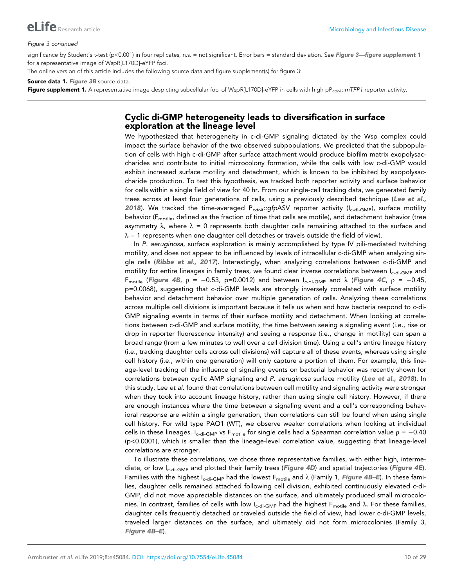#### <span id="page-9-0"></span>*Figure 3 continued*

significance by Student's t-test (p<0.001) in four replicates, n.s. = not significant. Error bars = standard deviation. See Figure 3-figure supplement 1 for a representative image of WspR[L170D]-eYFP foci.

The online version of this article includes the following source data and figure supplement(s) for figure 3:

Source data 1. [Figure 3B](#page-8-0) source data.

Figure supplement 1. A representative image despicting subcellular foci of WspR[L170D]-eYFP in cells with high pP<sub>cdrA</sub>::mTFP1 reporter activity.

#### Cyclic di-GMP heterogeneity leads to diversification in surface exploration at the lineage level

We hypothesized that heterogeneity in c-di-GMP signaling dictated by the Wsp complex could impact the surface behavior of the two observed subpopulations. We predicted that the subpopulation of cells with high c-di-GMP after surface attachment would produce biofilm matrix exopolysaccharides and contribute to initial microcolony formation, while the cells with low c-di-GMP would exhibit increased surface motility and detachment, which is known to be inhibited by exopolysaccharide production. To test this hypothesis, we tracked both reporter activity and surface behavior for cells within a single field of view for 40 hr. From our single-cell tracking data, we generated family trees across at least four generations of cells, using a previously described technique ([Lee et al.,](#page-27-0) [2018](#page-27-0)). We tracked the time-averaged P<sub>cdrA</sub>::gfpASV reporter activity (I<sub>c-di-GMP</sub>), surface motility behavior (F<sub>motile</sub>, defined as the fraction of time that cells are motile), and detachment behavior (tree asymmetry  $\lambda$ , where  $\lambda = 0$  represents both daughter cells remaining attached to the surface and  $\lambda$  = 1 represents when one daughter cell detaches or travels outside the field of view).

In *P. aeruginosa*, surface exploration is mainly accomplished by type IV pili-mediated twitching motility, and does not appear to be influenced by levels of intracellular c-di-GMP when analyzing single cells ([Ribbe et al., 2017](#page-27-0)). Interestingly, when analyzing correlations between c-di-GMP and motility for entire lineages in family trees, we found clear inverse correlations between I<sub>c-di-GMP</sub> and F<sub>motile</sub> ([Figure 4B](#page-10-0),  $\rho = -0.53$ , p=0.0012) and between I<sub>c-di-GMP</sub> and  $\lambda$  ([Figure 4C](#page-10-0),  $\rho = -0.45$ , p=0.0068), suggesting that c-di-GMP levels are strongly inversely correlated with surface motility behavior and detachment behavior over multiple generation of cells. Analyzing these correlations across multiple cell divisions is important because it tells us when and how bacteria respond to c-di-GMP signaling events in terms of their surface motility and detachment. When looking at correlations between c-di-GMP and surface motility, the time between seeing a signaling event (i.e., rise or drop in reporter fluorescence intensity) and seeing a response (i.e., change in motility) can span a broad range (from a few minutes to well over a cell division time). Using a cell's entire lineage history (i.e., tracking daughter cells across cell divisions) will capture all of these events, whereas using single cell history (i.e., within one generation) will only capture a portion of them. For example, this lineage-level tracking of the influence of signaling events on bacterial behavior was recently shown for correlations between cyclic AMP signaling and *P. aeruginosa* surface motility ([Lee et al., 2018](#page-27-0)). In this study, Lee *et al*. found that correlations between cell motility and signaling activity were stronger when they took into account lineage history, rather than using single cell history. However, if there are enough instances where the time between a signaling event and a cell's corresponding behavioral response are within a single generation, then correlations can still be found when using single cell history. For wild type PAO1 (WT), we observe weaker correlations when looking at individual cells in these lineages. I<sub>c-di-GMP</sub> vs F<sub>motile</sub> for single cells had a Spearman correlation value  $p = -0.40$ (p<0.0001), which is smaller than the lineage-level correlation value, suggesting that lineage-level correlations are stronger.

To illustrate these correlations, we chose three representative families, with either high, interme-diate, or low I<sub>c-di-GMP</sub> and plotted their family trees ([Figure 4D](#page-10-0)) and spatial trajectories ([Figure 4E](#page-10-0)). Families with the highest  $I_{c-di-GMP}$  had the lowest  $F_{motile}$  and  $\lambda$  (Family 1, [Figure 4B–E](#page-10-0)). In these families, daughter cells remained attached following cell division, exhibited continuously elevated c-di-GMP, did not move appreciable distances on the surface, and ultimately produced small microcolonies. In contrast, families of cells with low  $I_{c-di-GMP}$  had the highest  $F_{motile}$  and  $\lambda$ . For these families, daughter cells frequently detached or traveled outside the field of view, had lower c-di-GMP levels, traveled larger distances on the surface, and ultimately did not form microcolonies (Family 3, [Figure 4B–E](#page-10-0)).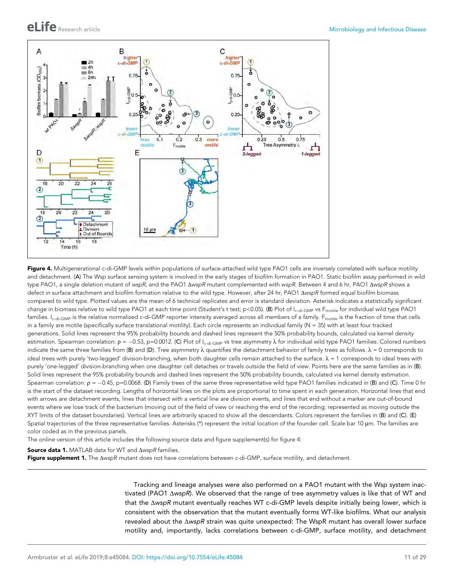<span id="page-10-0"></span>

Figure 4. Multigenerational c-di-GMP levels within populations of surface-attached wild type PAO1 cells are inversely correlated with surface motility and detachment. (A) The Wsp surface sensing system is involved in the early stages of biofilm formation in PAO1. Static biofilm assay performed in wild type PAO1, a single deletion mutant of *wspR*, and the PAO1  $\Delta wspR$  mutant complemented with wspR. Between 4 and 6 hr, PAO1  $\Delta wspR$  shows a defect in surface attachment and biofilm formation relative to the wild type. However, after 24 hr, PAO1 AwspR formed equal biofilm biomass compared to wild type. Plotted values are the mean of 6 technical replicates and error is standard deviation. Asterisk indicates a statistically significant change in biomass relative to wild type PAO1 at each time point (Student's t test; p<0.05). (B) Plot of I<sub>c-di-GMP</sub> vs F<sub>motile</sub> for individual wild type PAO1 families. I<sub>c-di-GMP</sub> is the relative normalized c-di-GMP reporter intensity averaged across all members of a family. F<sub>motile</sub> is the fraction of time that cells in a family are motile (specifically surface translational motility). Each circle represents an individual family (N = 35) with at least four tracked generations. Solid lines represent the 95% probability bounds and dashed lines represent the 50% probability bounds, calculated via kernel density estimation. Spearman correlation:  $p = -0.53$ , p=0.0012. (C) Plot of I<sub>c-di-GMP</sub> vs tree asymmetry  $\lambda$  for individual wild type PAO1 families. Colored numbers indicate the same three families from (B) and (D). Tree asymmetry  $\lambda$  quantifies the detachment behavior of family trees as follows.  $\lambda = 0$  corresponds to ideal trees with purely 'two-legged' division-branching, when both daughter cells remain attached to the surface.  $\lambda = 1$  corresponds to ideal trees with purely 'one-legged' division-branching when one daughter cell detaches or travels outside the field of view. Points here are the same families as in (B). Solid lines represent the 95% probability bounds and dashed lines represent the 50% probability bounds, calculated via kernel density estimation. Spearman correlation:  $p = -0.45$ ,  $p=0.0068$ . (D) Family trees of the same three representative wild type PAO1 families indicated in (B) and (C). Time 0 hr is the start of the dataset recording. Lengths of horizontal lines on the plots are proportional to time spent in each generation. Horizontal lines that end with arrows are detachment events, lines that intersect with a vertical line are division events, and lines that end without a marker are out-of-bound events where we lose track of the bacterium (moving out of the field of view or reaching the end of the recording; represented as moving outside the XYT limits of the dataset boundaries). Vertical lines are arbitrarily spaced to show all the descendants. Colors represent the families in (B) and (C). (E) Spatial trajectories of the three representative families. Asterisks (\*) represent the initial location of the founder cell. Scale bar 10 µm. The families are color coded as in the previous panels.

The online version of this article includes the following source data and figure supplement(s) for figure 4:

Source data 1. MATLAB data for WT and  $\Delta wspR$  families.

Figure supplement 1. The AwspR mutant does not have correlations between c-di-GMP, surface motility, and detachment.

Tracking and lineage analyses were also performed on a PAO1 mutant with the Wsp system inactivated (PAO1  $\triangle$ wspR). We observed that the range of tree asymmetry values is like that of WT and that the AwspR mutant eventually reaches WT c-di-GMP levels despite initially being lower, which is consistent with the observation that the mutant eventually forms WT-like biofilms. What our analysis revealed about the D*wspR* strain was quite unexpected: The WspR mutant has overall lower surface motility and, importantly, lacks correlations between c-di-GMP, surface motility, and detachment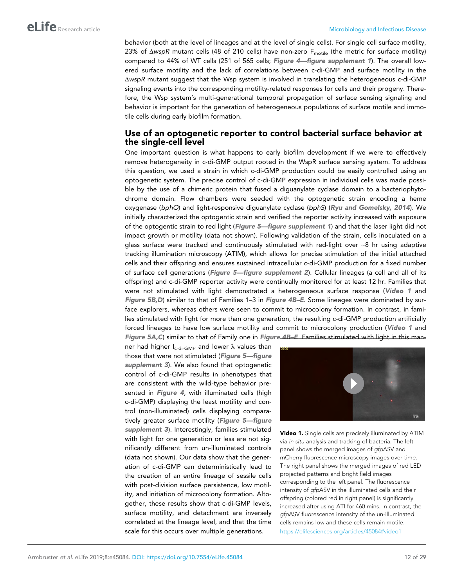<span id="page-11-0"></span>behavior (both at the level of lineages and at the level of single cells). For single cell surface motility, 23% of  $\Delta$ wspR mutant cells (48 of 210 cells) have non-zero  $F_{\text{motile}}$  (the metric for surface motility) compared to 44% of WT cells (251 of 565 cells; [Figure 4—figure supplement 1](#page-10-0)). The overall lowered surface motility and the lack of correlations between c-di-GMP and surface motility in the  $\Delta$ wspR mutant suggest that the Wsp system is involved in translating the heterogeneous c-di-GMP signaling events into the corresponding motility-related responses for cells and their progeny. Therefore, the Wsp system's multi-generational temporal propagation of surface sensing signaling and behavior is important for the generation of heterogeneous populations of surface motile and immotile cells during early biofilm formation.

#### Use of an optogenetic reporter to control bacterial surface behavior at the single-cell level

One important question is what happens to early biofilm development if we were to effectively remove heterogeneity in c-di-GMP output rooted in the WspR surface sensing system. To address this question, we used a strain in which c-di-GMP production could be easily controlled using an optogenetic system. The precise control of c-di-GMP expression in individual cells was made possible by the use of a chimeric protein that fused a diguanylate cyclase domain to a bacteriophytochrome domain. Flow chambers were seeded with the optogenetic strain encoding a heme oxygenase (*bphO*) and light-responsive diguanylate cyclase (*bphS*) ([Ryu and Gomelsky, 2014](#page-27-0)). We initially characterized the optogentic strain and verified the reporter activity increased with exposure of the optogentic strain to red light ([Figure 5—figure supplement 1](#page-12-0)) and that the laser light did not impact growth or motility (data not shown). Following validation of the strain, cells inoculated on a glass surface were tracked and continuously stimulated with red-light over ~8 hr using adaptive tracking illumination microscopy (ATIM), which allows for precise stimulation of the initial attached cells and their offspring and ensures sustained intracellular c-di-GMP production for a fixed number of surface cell generations ([Figure 5—figure supplement 2](#page-12-0)). Cellular lineages (a cell and all of its offspring) and c-di-GMP reporter activity were continually monitored for at least 12 hr. Families that were not stimulated with light demonstrated a heterogeneous surface response (Video 1 and Figure 5B, D) similar to that of Families 1-3 in Figure 4B-E. Some lineages were dominated by surface explorers, whereas others were seen to commit to microcolony formation. In contrast, in families stimulated with light for more than one generation, the resulting c-di-GMP production artificially forced lineages to have low surface motility and commit to microcolony production (Video 1 and [Figure 5A,C](#page-12-0)) similar to that of Family one in Figure 4B-E. Families stimulated with light in this man-

ner had higher  $I_{c-di-GMP}$  and lower  $\lambda$  values than those that were not stimulated ([Figure 5—figure](#page-12-0) [supplement](#page-12-0) 3). We also found that optogenetic control of c-di-GMP results in phenotypes that are consistent with the wild-type behavior presented in [Figure 4](#page-10-0), with illuminated cells (high c-di-GMP) displaying the least motility and control (non-illuminated) cells displaying comparatively greater surface motility ([Figure 5—figure](#page-12-0) [supplement](#page-12-0) 3). Interestingly, families stimulated with light for one generation or less are not significantly different from un-illuminated controls (data not shown). Our data show that the generation of c-di-GMP can deterministically lead to the creation of an entire lineage of sessile cells with post-division surface persistence, low motility, and initiation of microcolony formation. Altogether, these results show that c-di-GMP levels, surface motility, and detachment are inversely correlated at the lineage level, and that the time scale for this occurs over multiple generations.



Video 1. Single cells are precisely illuminated by ATIM via *in situ* analysis and tracking of bacteria. The left panel shows the merged images of *gfp*ASV and mCherry fluorescence microscopy images over time. The right panel shows the merged images of red LED projected patterns and bright field images corresponding to the left panel. The fluorescence intensity of *gfp*ASV in the illuminated cells and their offspring (colored red in right panel) is significantly increased after using ATI for 460 mins. In contrast, the *gfp*ASV fluorescence intensity of the un-illuminated cells remains low and these cells remain motile. <https://elifesciences.org/articles/45084#video1>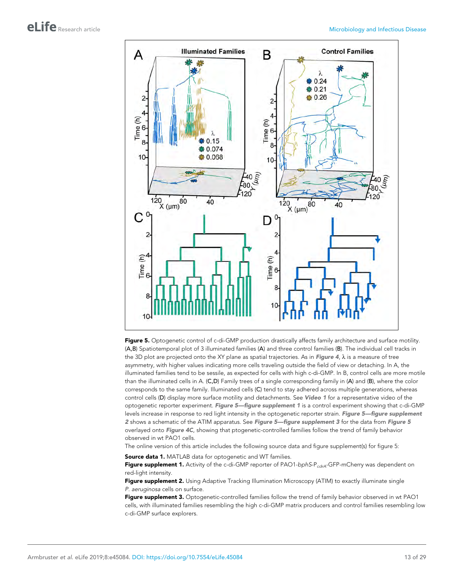<span id="page-12-0"></span>

Figure 5. Optogenetic control of c-di-GMP production drastically affects family architecture and surface motility. (A,B) Spatiotemporal plot of 3 illuminated families (A) and three control families (B). The individual cell tracks in the 3D plot are projected onto the XY plane as spatial trajectories. As in [Figure 4](#page-10-0),  $\lambda$  is a measure of tree asymmetry, with higher values indicating more cells traveling outside the field of view or detaching. In A, the illuminated families tend to be sessile, as expected for cells with high c-di-GMP. In B, control cells are more motile than the illuminated cells in A. (C,D) Family trees of a single corresponding family in (A) and (B), where the color corresponds to the same family. Illuminated cells (C) tend to stay adhered across multiple generations, whereas control cells (D) display more surface motility and detachments. See [Video 1](#page-11-0) for a representative video of the optogenetic reporter experiment. Figure 5-figure supplement 1 is a control experiment showing that c-di-GMP levels increase in response to red light intensity in the optogenetic reporter strain. Figure 5-figure supplement 2 shows a schematic of the ATIM apparatus. See Figure 5—figure supplement 3 for the data from Figure 5 overlayed onto [Figure 4C](#page-10-0), showing that ptogenetic-controlled families follow the trend of family behavior observed in wt PAO1 cells.

The online version of this article includes the following source data and figure supplement(s) for figure 5:

Source data 1. MATLAB data for optogenetic and WT families.

Figure supplement 1. Activity of the c-di-GMP reporter of PAO1-*bphS*-P*cdrA*-GFP-mCherry was dependent on red-light intensity.

Figure supplement 2. Using Adaptive Tracking Illumination Microscopy (ATIM) to exactly illuminate single *P. aeruginosa* cells on surface.

Figure supplement 3. Optogenetic-controlled families follow the trend of family behavior observed in wt PAO1 cells, with illuminated families resembling the high c-di-GMP matrix producers and control families resembling low c-di-GMP surface explorers.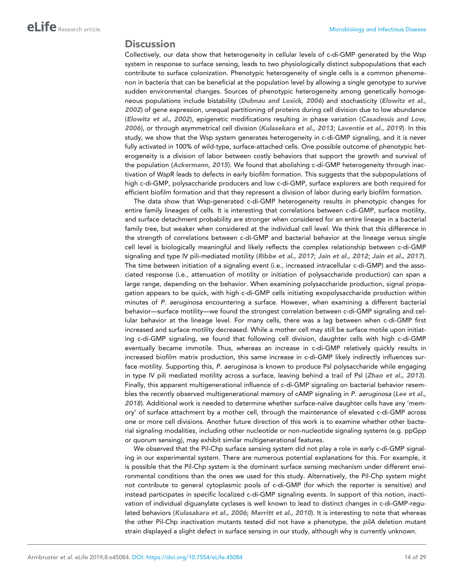#### **Discussion**

Collectively, our data show that heterogeneity in cellular levels of c-di-GMP generated by the Wsp system in response to surface sensing, leads to two physiologically distinct subpopulations that each contribute to surface colonization. Phenotypic heterogeneity of single cells is a common phenomenon in bacteria that can be beneficial at the population level by allowing a single genotype to survive sudden environmental changes. Sources of phenotypic heterogeneity among genetically homoge-neous populations include bistability ([Dubnau and Losick, 2006](#page-26-0)) and stochasticity ([Elowitz et al.,](#page-26-0) [2002](#page-26-0)) of gene expression, unequal partitioning of proteins during cell division due to low abundance ([Elowitz et al., 2002](#page-26-0)), epigenetic modifications resulting in phase variation (Casadesus and Low, [2006](#page-25-0)), or through asymmetrical cell division ([Kulasekara et al., 2013](#page-27-0); [Laventie et al., 2019](#page-27-0)). In this study, we show that the Wsp system generates heterogeneity in c-di-GMP signaling, and it is never fully activated in 100% of wild-type, surface-attached cells. One possible outcome of phenotypic heterogeneity is a division of labor between costly behaviors that support the growth and survival of the population ([Ackermann, 2015](#page-25-0)). We found that abolishing c-di-GMP heterogeneity through inactivation of WspR leads to defects in early biofilm formation. This suggests that the subpopulations of high c-di-GMP, polysaccharide producers and low c-di-GMP, surface explorers are both required for efficient biofilm formation and that they represent a division of labor during early biofilm formation.

The data show that Wsp-generated c-di-GMP heterogeneity results in phenotypic changes for entire family lineages of cells. It is interesting that correlations between c-di-GMP, surface motility, and surface detachment probability are stronger when considered for an entire lineage in a bacterial family tree, but weaker when considered at the individual cell level. We think that this difference in the strength of correlations between c-di-GMP and bacterial behavior at the lineage versus single cell level is biologically meaningful and likely reflects the complex relationship between c-di-GMP signaling and type IV pili-mediated motility ([Ribbe et al., 2017](#page-27-0); [Jain et al., 2012](#page-26-0); [Jain et al., 2017](#page-26-0)). The time between initiation of a signaling event (i.e., increased intracellular c-di-GMP) and the associated response (i.e., attenuation of motility or initiation of polysaccharide production) can span a large range, depending on the behavior. When examining polysaccharide production, signal propagation appears to be quick, with high c-di-GMP cells initiating exopolysaccharide production within minutes of *P. aeruginosa* encountering a surface. However, when examining a different bacterial behavior—surface motility—we found the strongest correlation between c-di-GMP signaling and cellular behavior at the lineage level. For many cells, there was a lag between when c-di-GMP first increased and surface motility decreased. While a mother cell may still be surface motile upon initiating c-di-GMP signaling, we found that following cell division, daughter cells with high c-di-GMP eventually became immotile. Thus, whereas an increase in c-di-GMP relatively quickly results in increased biofilm matrix production, this same increase in c-di-GMP likely indirectly influences surface motility. Supporting this, *P. aeruginosa* is known to produce Psl polysaccharide while engaging in type IV pili mediated motility across a surface, leaving behind a trail of Psl ([Zhao et al., 2013](#page-28-0)). Finally, this apparent multigenerational influence of c-di-GMP signaling on bacterial behavior resembles the recently observed multigenerational memory of cAMP signaling in *P. aeruginosa* ([Lee et al.,](#page-27-0) [2018](#page-27-0)). Additional work is needed to determine whether surface-naïve daughter cells have any 'memory' of surface attachment by a mother cell, through the maintenance of elevated c-di-GMP across one or more cell divisions. Another future direction of this work is to examine whether other bacterial signaling modalities, including other nucleotide or non-nucleotide signaling systems (e.g. ppGpp or quorum sensing), may exhibit similar multigenerational features.

We observed that the Pil-Chp surface sensing system did not play a role in early c-di-GMP signaling in our experimental system. There are numerous potential explanations for this. For example, it is possible that the Pil-Chp system is the dominant surface sensing mechanism under different environmental conditions than the ones we used for this study. Alternatively, the Pil-Chp system might not contribute to general cytoplasmic pools of c-di-GMP (for which the reporter is sensitive) and instead participates in specific localized c-di-GMP signaling events. In support of this notion, inactivation of individual diguanylate cyclases is well known to lead to distinct changes in c-di-GMP-regu-lated behaviors ([Kulasakara et al., 2006](#page-26-0); [Merritt et al., 2010](#page-27-0)). It is interesting to note that whereas the other Pil-Chp inactivation mutants tested did not have a phenotype, the *pilA* deletion mutant strain displayed a slight defect in surface sensing in our study, although why is currently unknown.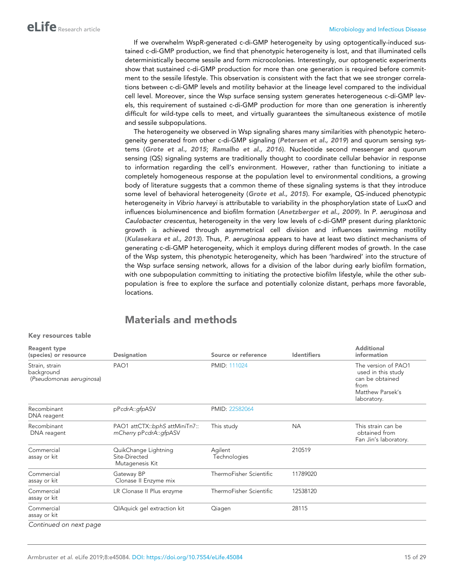If we overwhelm WspR-generated c-di-GMP heterogeneity by using optogentically-induced sustained c-di-GMP production, we find that phenotypic heterogeneity is lost, and that illuminated cells deterministically become sessile and form microcolonies. Interestingly, our optogenetic experiments show that sustained c-di-GMP production for more than one generation is required before commitment to the sessile lifestyle. This observation is consistent with the fact that we see stronger correlations between c-di-GMP levels and motility behavior at the lineage level compared to the individual cell level. Moreover, since the Wsp surface sensing system generates heterogeneous c-di-GMP levels, this requirement of sustained c-di-GMP production for more than one generation is inherently difficult for wild-type cells to meet, and virtually guarantees the simultaneous existence of motile and sessile subpopulations.

The heterogeneity we observed in Wsp signaling shares many similarities with phenotypic heterogeneity generated from other c-di-GMP signaling ([Petersen et al., 2019](#page-27-0)) and quorum sensing sys-tems ([Grote et al., 2015](#page-26-0); [Ramalho et al., 2016](#page-27-0)). Nucleotide second messenger and quorum sensing (QS) signaling systems are traditionally thought to coordinate cellular behavior in response to information regarding the cell's environment. However, rather than functioning to initiate a completely homogeneous response at the population level to environmental conditions, a growing body of literature suggests that a common theme of these signaling systems is that they introduce some level of behavioral heterogeneity ([Grote et al., 2015](#page-26-0)). For example, QS-induced phenotypic heterogeneity in *Vibrio harveyi* is attributable to variability in the phosphorylation state of LuxO and influences bioluminencence and biofilm formation ([Anetzberger et al., 2009](#page-25-0)). In *P. aeruginosa* and *Caulobacter crescentus*, heterogeneity in the very low levels of c-di-GMP present during planktonic growth is achieved through asymmetrical cell division and influences swimming motility ([Kulasekara et al., 2013](#page-27-0)). Thus, *P. aeruginosa* appears to have at least two distinct mechanisms of generating c-di-GMP heterogeneity, which it employs during different modes of growth. In the case of the Wsp system, this phenotypic heterogeneity, which has been 'hardwired' into the structure of the Wsp surface sensing network, allows for a division of the labor during early biofilm formation, with one subpopulation committing to initiating the protective biofilm lifestyle, while the other subpopulation is free to explore the surface and potentially colonize distant, perhaps more favorable, locations.

# Materials and methods

#### Key resources table

| <b>Reagent type</b><br>(species) or resource             | <b>Designation</b>                                       | Source or reference     | <b>Identifiers</b> | <b>Additional</b><br>information                                                                        |
|----------------------------------------------------------|----------------------------------------------------------|-------------------------|--------------------|---------------------------------------------------------------------------------------------------------|
| Strain, strain<br>background<br>(Pseudomonas aeruginosa) | PAO <sub>1</sub>                                         | PMID: 111024            |                    | The version of PAO1<br>used in this study<br>can be obtained<br>from<br>Matthew Parsek's<br>laboratory. |
| Recombinant<br>DNA reagent                               | pPcdrA::gfpASV                                           | PMID: 22582064          |                    |                                                                                                         |
| Recombinant<br>DNA reagent                               | PAO1 attCTX::bphS attMiniTn7::<br>mCherry pPcdrA::gfpASV | This study              | ΝA                 | This strain can be<br>obtained from<br>Fan Jin's laboratory.                                            |
| Commercial<br>assay or kit                               | QuikChange Lightning<br>Site-Directed<br>Mutagenesis Kit | Agilent<br>Technologies | 210519             |                                                                                                         |
| Commercial<br>assay or kit                               | Gateway BP<br>Clonase II Enzyme mix                      | ThermoFisher Scientific | 11789020           |                                                                                                         |
| Commercial<br>assay or kit                               | LR Clonase II Plus enzyme                                | ThermoFisher Scientific | 12538120           |                                                                                                         |
| Commercial<br>assay or kit                               | QIAquick gel extraction kit                              | Qiagen                  | 28115              |                                                                                                         |
| Continued on next page                                   |                                                          |                         |                    |                                                                                                         |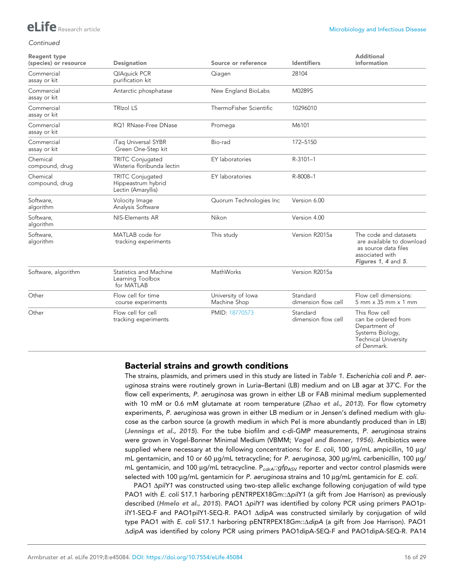# elife Research article and the Microbiology and Infectious Disease

#### *Continued*

| <b>Reagent type</b><br>(species) or resource | <b>Designation</b>                                                  | Source or reference                | <b>Identifiers</b>              | <b>Additional</b><br>information                                                                                         |
|----------------------------------------------|---------------------------------------------------------------------|------------------------------------|---------------------------------|--------------------------------------------------------------------------------------------------------------------------|
| Commercial<br>assay or kit                   | QIAquick PCR<br>purification kit                                    | Qiagen                             | 28104                           |                                                                                                                          |
| Commercial<br>assay or kit                   | Antarctic phosphatase                                               | New England BioLabs                | M0289S                          |                                                                                                                          |
| Commercial<br>assay or kit                   | <b>TRIzol LS</b>                                                    | ThermoFisher Scientific            | 10296010                        |                                                                                                                          |
| Commercial<br>assay or kit                   | RQ1 RNase-Free DNase                                                | Promega                            | M6101                           |                                                                                                                          |
| Commercial<br>assay or kit                   | iTag Universal SYBR<br>Green One-Step kit                           | Bio-rad                            | 172-5150                        |                                                                                                                          |
| Chemical<br>compound, drug                   | <b>TRITC Conjugated</b><br>Wisteria floribunda lectin               | EY laboratories                    | R-3101-1                        |                                                                                                                          |
| Chemical<br>compound, drug                   | <b>TRITC Conjugated</b><br>Hippeastrum hybrid<br>Lectin (Amaryllis) | EY laboratories                    | R-8008-1                        |                                                                                                                          |
| Software.<br>algorithm                       | Volocity Image<br>Analysis Software                                 | Quorum Technologies Inc            | Version 6.00                    |                                                                                                                          |
| Software,<br>algorithm                       | NIS-Elements AR                                                     | Nikon                              | Version 4.00                    |                                                                                                                          |
| Software.<br>algorithm                       | MATLAB code for<br>tracking experiments                             | This study                         | Version R2015a                  | The code and datasets<br>are available to download<br>as source data files<br>associated with<br>Figures 1, 4 and 5.     |
| Software, algorithm                          | Statistics and Machine<br>Learning Toolbox<br>for MATLAB            | MathWorks                          | Version R2015a                  |                                                                                                                          |
| Other                                        | Flow cell for time<br>course experiments                            | University of Iowa<br>Machine Shop | Standard<br>dimension flow cell | Flow cell dimensions:<br>$5$ mm $\times$ 35 mm $\times$ 1 mm                                                             |
| Other                                        | Flow cell for cell<br>tracking experiments                          | PMID: 18770573                     | Standard<br>dimension flow cell | This flow cell<br>can be ordered from<br>Department of<br>Systems Biology,<br><b>Technical University</b><br>of Denmark. |

# Bacterial strains and growth conditions

The strains, plasmids, and primers used in this study are listed in [Table 1](#page-16-0). *Escherichia coli* and *P. aeruginosa* strains were routinely grown in Luria–Bertani (LB) medium and on LB agar at 37˚C. For the flow cell experiments, *P. aeruginosa* was grown in either LB or FAB minimal medium supplemented with 10 mM or 0.6 mM glutamate at room temperature ([Zhao et al., 2013](#page-28-0)). For flow cytometry experiments, *P. aeruginosa* was grown in either LB medium or in Jensen's defined medium with glucose as the carbon source (a growth medium in which Pel is more abundantly produced than in LB) ([Jennings et al., 2015](#page-26-0)). For the tube biofilm and c-di-GMP measurements, *P. aeruginosa* strains were grown in Vogel-Bonner Minimal Medium (VBMM; [Vogel and Bonner, 1956](#page-28-0)). Antibiotics were supplied where necessary at the following concentrations: for *E. coli*, 100 µg/mL ampicillin, 10 µg/ mL gentamicin, and 10 or 60 μg/mL tetracycline; for *P. aeruginosa*, 300 μg/mL carbenicillin, 100 μg/ mL gentamicin, and 100 μg/mL tetracycline. P<sub>cdrA</sub>::gfp<sub>ASV</sub> reporter and vector control plasmids were selected with 100 µg/mL gentamicin for *P. aeruginosa* strains and 10 µg/mL gentamicin for *E. coli*.

PAO1  $\Delta$ pilY1 was constructed using two-step allelic exchange following conjugation of wild type PAO1 with *E. coli* S17.1 harboring pENTRPEX18Gm::D*pilY1* (a gift from Joe Harrison) as previously described ([Hmelo et al., 2015](#page-26-0)). PAO1 D*pilY1* was identified by colony PCR using primers PAO1pilY1-SEQ-F and PAO1pilY1-SEQ-R. PAO1 D*dipA* was constructed similarly by conjugation of wild type PAO1 with *E. coli* S17.1 harboring pENTRPEX18Gm:: $\Delta$ dipA (a gift from Joe Harrison). PAO1 D*dipA* was identified by colony PCR using primers PAO1dipA-SEQ-F and PAO1dipA-SEQ-R. PA14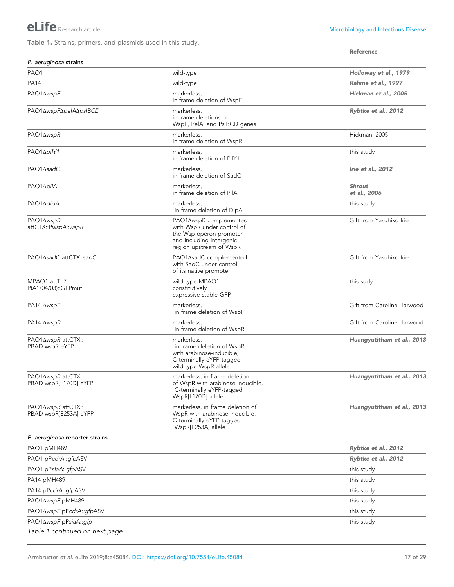<span id="page-16-0"></span>Table 1. Strains, primers, and plasmids used in this study.

|                                              |                                                                                                                                        | <b>Reference</b>           |
|----------------------------------------------|----------------------------------------------------------------------------------------------------------------------------------------|----------------------------|
| P. aeruginosa strains                        |                                                                                                                                        |                            |
| PAO1                                         | wild-type                                                                                                                              | Holloway et al., 1979      |
| PA14                                         | wild-type                                                                                                                              | Rahme et al., 1997         |
| PAO1 <sub>AwspF</sub>                        | markerless.<br>in frame deletion of WspF                                                                                               | Hickman et al., 2005       |
| PAO1ΔwspFΔpelAΔpslBCD                        | markerless,<br>in frame deletions of<br>WspF, PelA, and PslBCD genes                                                                   | Rybtke et al., 2012        |
| $PAO1\Delta$ wsp $R$                         | markerless,<br>in frame deletion of WspR                                                                                               | Hickman, 2005              |
| PAO1ApilY1                                   | markerless.<br>in frame deletion of PilY1                                                                                              | this study                 |
| PAO1 <sub>Asad</sub> C                       | markerless,<br>in frame deletion of SadC                                                                                               | Irie et al., 2012          |
| PAO1 <sub>ApilA</sub>                        | markerless,<br>in frame deletion of PilA                                                                                               | Shrout<br>et al., 2006     |
| PAO1AdipA                                    | markerless,<br>in frame deletion of DipA                                                                                               | this study                 |
| PAO1 <sub>AwspR</sub><br>attCTX::PwspA::wspR | PAO1∆wspR complemented<br>with WspR under control of<br>the Wsp operon promoter<br>and including intergenic<br>region upstream of WspR | Gift from Yasuhiko Irie    |
| PAO1∆sadC attCTX::sadC                       | PAO1∆sadC complemented<br>with SadC under control<br>of its native promoter                                                            | Gift from Yasuhiko Irie    |
| MPAO1 attTn7::<br>P(A1/04/03)::GFPmut        | wild type MPAO1<br>constitutively<br>expressive stable GFP                                                                             | this sudy                  |
| $PA14 \Delta$ wsp $F$                        | markerless,<br>in frame deletion of WspF                                                                                               | Gift from Caroline Harwood |
| $PA14 \Delta wspR$                           | markerless,<br>in frame deletion of WspR                                                                                               | Gift from Caroline Harwood |
| PAO1∆wspR attCTX::<br>PBAD-wspR-eYFP         | markerless,<br>in frame deletion of WspR<br>with arabinose-inducible,<br>C-terminally eYFP-tagged<br>wild type WspR allele             | Huangyutitham et al., 2013 |
| PAO1∆wspR attCTX::<br>PBAD-wspR[L170D]-eYFP  | markerless, in frame deletion<br>of WspR with arabinose-inducible,<br>C-terminally eYFP-tagged<br>WspR[L170D] allele                   | Huangyutitham et al., 2013 |
| PAO1∆wspR attCTX::<br>PBAD-wspR[E253A]-eYFP  | markerless, in frame deletion of<br>WspR with arabinose-inducible,<br>C-terminally eYFP-tagged<br>WspR[E253A] allele                   | Huangyutitham et al., 2013 |
| P. aeruginosa reporter strains               |                                                                                                                                        |                            |
| PAO1 pMH489                                  |                                                                                                                                        | Rybtke et al., 2012        |
| PAO1 pPcdrA::gfpASV                          |                                                                                                                                        | Rybtke et al., 2012        |
| PAO1 pPsiaA::gfpASV                          |                                                                                                                                        | this study                 |
| PA14 pMH489                                  |                                                                                                                                        | this study                 |
| PA14 pPcdrA::gfpASV                          |                                                                                                                                        | this study                 |
| PAO1 $\Delta$ wspF pMH489                    |                                                                                                                                        | this study                 |
| PAO1∆wspF pPcdrA::gfpASV                     |                                                                                                                                        | this study                 |
| PAO1∆wspF pPsiaA::gfp                        |                                                                                                                                        | this study                 |
| Table 1 continued on next page               |                                                                                                                                        |                            |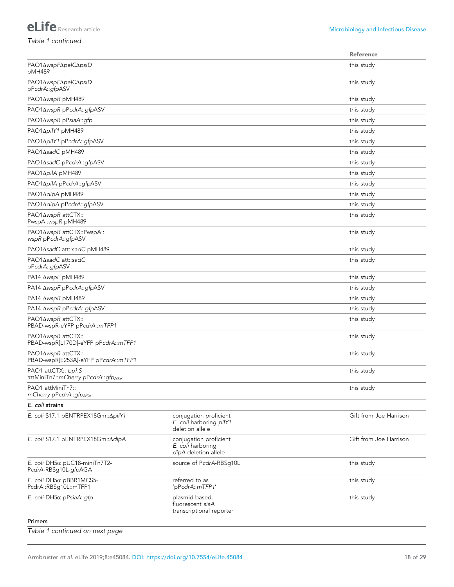*Table 1 continued*

|                                                            |                                                                      | <b>Reference</b>       |
|------------------------------------------------------------|----------------------------------------------------------------------|------------------------|
| PAO1∆wspF∆pelC∆pslD<br>pMH489                              |                                                                      | this study             |
| PAO1ΔwspFΔpelCΔpslD<br>pPcdrA::gfpASV                      |                                                                      | this study             |
| PAO14wspR pMH489                                           |                                                                      | this study             |
| PAO1∆wspR pPcdrA::gfpASV                                   |                                                                      | this study             |
| PAO1∆wspR pPsiaA::gfp                                      |                                                                      | this study             |
| PAO14pilY1 pMH489                                          |                                                                      | this study             |
| PAO1ApilY1 pPcdrA::gfpASV                                  |                                                                      | this study             |
| PAO1∆sadC pMH489                                           |                                                                      | this study             |
| PAO1∆sadC pPcdrA::gfpASV                                   |                                                                      | this study             |
| PAO14pilA pMH489                                           |                                                                      | this study             |
| PAO1ΔpilA pPcdrA::gfpASV                                   |                                                                      | this study             |
| PAO1AdipA pMH489                                           |                                                                      | this study             |
| PAO1∆dipA pPcdrA::gfpASV                                   |                                                                      | this study             |
| PAO1∆wspR attCTX::<br>PwspA::wspR pMH489                   |                                                                      | this study             |
| PAO1AwspR attCTX::PwspA::<br>wspR pPcdrA::gfpASV           |                                                                      | this study             |
| PAO1∆sadC att::sadC pMH489                                 |                                                                      | this study             |
| PAO1∆sadC att::sadC<br>pPcdrA::gfpASV                      |                                                                      | this study             |
| PA14 AwspF pMH489                                          |                                                                      | this study             |
| PA14 AwspF pPcdrA::gfpASV                                  |                                                                      | this study             |
| PA14 AwspR pMH489                                          |                                                                      | this study             |
| PA14 AwspR pPcdrA::gfpASV                                  |                                                                      | this study             |
| PAO1∆wspR attCTX::<br>PBAD-wspR-eYFP pPcdrA::mTFP1         |                                                                      | this study             |
| PAO1∆wspR attCTX::<br>PBAD-wspR[L170D]-eYFP pPcdrA::mTFP1  |                                                                      | this study             |
| PAO1∆wspR attCTX::<br>PBAD-wspR[E253A]-eYFP pPcdrA::mTFP1  |                                                                      | this study             |
| PAO1 attCTX:: bphS<br>attMiniTn7::mCherry pPcdrA::gfpAsv   |                                                                      | this study             |
| PAO1 attMiniTn7::<br>mCherry pPcdrA:: gfp <sub>ASV</sub>   |                                                                      | this study             |
| E. coli strains                                            |                                                                      |                        |
| E. coli S17.1 pENTRPEX18Gm:: ApilY1                        | conjugation proficient<br>E. coli harboring pilY1<br>deletion allele | Gift from Joe Harrison |
| E. coli S17.1 pENTRPEX18Gm:: AdipA                         | conjugation proficient<br>E. coli harboring<br>dipA deletion allele  | Gift from Joe Harrison |
| E. coli DH5α pUC18-miniTn7T2-<br>PcdrA-RBSg10L-gfpAGA      | source of PcdrA-RBSg10L                                              | this study             |
| $E.$ coli DH5 $\alpha$ pBBR1MCS5-<br>PcdrA::RBSg10L::mTFP1 | referred to as<br>'pPcdrA::mTFP1'                                    | this study             |
| E. coli DH5α pPsiaA::gfp                                   | plasmid-based,<br>fluorescent siaA<br>transcriptional reporter       | this study             |
| Primers                                                    |                                                                      |                        |
| Table 1 continued on next page                             |                                                                      |                        |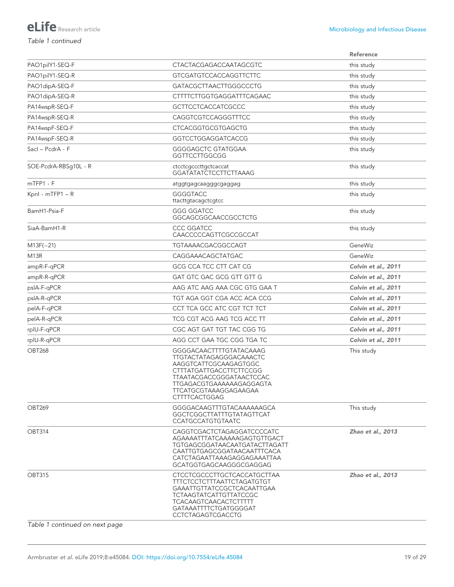|                       |                                                                                                                                                                                                                             | Reference           |
|-----------------------|-----------------------------------------------------------------------------------------------------------------------------------------------------------------------------------------------------------------------------|---------------------|
| PAO1pilY1-SEQ-F       | CTACTACGAGACCAATAGCGTC                                                                                                                                                                                                      | this study          |
| PAO1pilY1-SEQ-R       | <b>GTCGATGTCCACCAGGTTCTTC</b>                                                                                                                                                                                               | this study          |
| PAO1dipA-SEQ-F        | GATACGCTTAACTTGGGCCCTG                                                                                                                                                                                                      | this study          |
| PAO1dipA-SEQ-R        | CTTTTCTTGGTGAGGATTTCAGAAC                                                                                                                                                                                                   | this study          |
| PA14wspR-SEQ-F        | GCTTCCTCACCATCGCCC                                                                                                                                                                                                          | this study          |
| PA14wspR-SEQ-R        | CAGGTCGTCCAGGGTTTCC                                                                                                                                                                                                         | this study          |
| PA14wspF-SEQ-F        | <b>CTCACGGTGCGTGAGCTG</b>                                                                                                                                                                                                   | this study          |
| PA14wspF-SEQ-R        | GGTCCTGGAGGATCACCG                                                                                                                                                                                                          | this study          |
| Sacl – PcdrA - F      | GGGGAGCTC GTATGGAA<br><b>GGTTCCTTGGCGG</b>                                                                                                                                                                                  | this study          |
| SOE-PcdrA-RBSq10L - R | ctcctcqcccttqctcaccat<br>GGATATATCTCCTTCTTAAAG                                                                                                                                                                              | this study          |
| mTFP1 - F             | atggtgagcaagggcgaggag                                                                                                                                                                                                       | this study          |
| Kpnl - $mTFP1 - R$    | GGGGTACC<br>ttacttgtacagctcgtcc                                                                                                                                                                                             | this study          |
| BamH1-Psia-F          | <b>GGG GGATCC</b><br>GGCAGCGGCAACCGCCTCTG                                                                                                                                                                                   | this study          |
| SiaA-BamH1-R          | CCC GGATCC<br>CAACCCCCAGTTCGCCGCCAT                                                                                                                                                                                         | this study          |
| $M13F(-21)$           | TGTAAAACGACGGCCAGT                                                                                                                                                                                                          | GeneWiz             |
| M <sub>13</sub> R     | CAGGAAACAGCTATGAC                                                                                                                                                                                                           | GeneWiz             |
| ampR-F-qPCR           | GCG CCA TCC CTT CAT CG                                                                                                                                                                                                      | Colvin et al., 2011 |
| ampR-R-qPCR           | GAT GTC GAC GCG GTT GTT G                                                                                                                                                                                                   | Colvin et al., 2011 |
| pslA-F-qPCR           | AAG ATC AAG AAA CGC GTG GAA T                                                                                                                                                                                               | Colvin et al., 2011 |
| pslA-R-qPCR           | TGT AGA GGT CGA ACC ACA CCG                                                                                                                                                                                                 | Colvin et al., 2011 |
| pelA-F-qPCR           | CCT TCA GCC ATC CGT TCT TCT                                                                                                                                                                                                 | Colvin et al., 2011 |
| pelA-R-qPCR           | TCG CGT ACG AAG TCG ACC TT                                                                                                                                                                                                  | Colvin et al., 2011 |
| rplU-F-qPCR           | CGC AGT GAT TGT TAC CGG TG                                                                                                                                                                                                  | Colvin et al., 2011 |
| rpIU-R-qPCR           | AGG CCT GAA TGC CGG TGA TC                                                                                                                                                                                                  | Colvin et al., 2011 |
| <b>OBT268</b>         | GGGGACAACTTTTGTATACAAAG<br>TTGTACTATAGAGGGACAAACTC<br>AAGGTCATTCGCAAGAGTGGC<br>CTTTATGATTGACCTTCTTCCGG<br><b>TTAATACGACCGGGATAACTCCAC</b><br>TTGAGACGTGAAAAAAGAGGAGTA<br>TTCATGCGTAAAGGAGAAGAA<br>CTTTTCACTGGAG             | This study          |
| OBT <sub>269</sub>    | GGGGACAAGTTTGTACAAAAAAGCA<br>GGCTCGGCTTATTTGTATAGTTCAT<br><b>CCATGCCATGTGTAATC</b>                                                                                                                                          | This study          |
| <b>OBT314</b>         | CAGGTCGACTCTAGAGGATCCCCATC<br>AGAAAATTTATCAAAAAGAGTGTTGACT<br>TGTGAGCGGATAACAATGATACTTAGATT<br>CAATTGTGAGCGGATAACAATTTCACA<br>CATCTAGAATTAAAGAGGAGAAATTAA<br>GCATGGTGAGCAAGGGCGAGGAG                                        | Zhao et al., 2013   |
| <b>OBT315</b>         | <b>CTCCTCGCCCTTGCTCACCATGCTTAA</b><br><b>TTTCTCCTCTTTAATTCTAGATGTGT</b><br>GAAATTGTTATCCGCTCACAATTGAA<br><b>TCTAAGTATCATTGTTATCCGC</b><br><b>TCACAAGTCAACACTCTTTTT</b><br>GATAAATTTTCTGATGGGGAT<br><b>CCTCTAGAGTCGACCTG</b> | Zhao et al., 2013   |

*Table 1 continued on next page*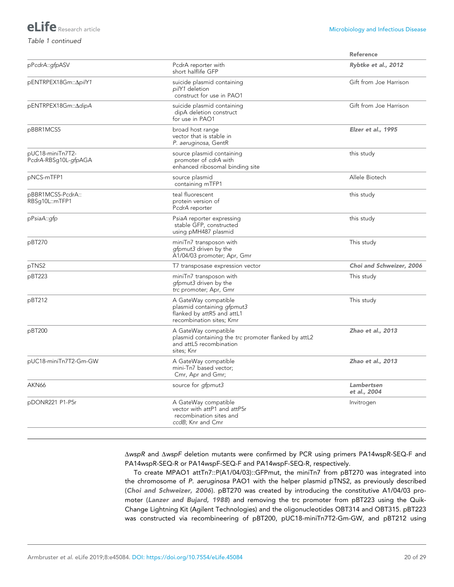#### *Table 1 continued*

|                                          |                                                                                                                       | <b>Reference</b>           |
|------------------------------------------|-----------------------------------------------------------------------------------------------------------------------|----------------------------|
| pPcdrA::gfpASV                           | PcdrA reporter with<br>short halflife GFP                                                                             | Rybtke et al., 2012        |
| pENTRPEX18Gm:: ApilY1                    | suicide plasmid containing<br>pilY1 deletion<br>construct for use in PAO1                                             | Gift from Joe Harrison     |
| pENTRPEX18Gm::AdipA                      | suicide plasmid containing<br>dipA deletion construct<br>for use in PAO1                                              | Gift from Joe Harrison     |
| pBBR1MCS5                                | broad host range<br>vector that is stable in<br>P. aeruginosa, GentR                                                  | Elzer et al., 1995         |
| pUC18-miniTn7T2-<br>PcdrA-RBSg10L-gfpAGA | source plasmid containing<br>promoter of cdrA with<br>enhanced ribosomal binding site                                 | this study                 |
| pNCS-mTFP1                               | source plasmid<br>containing mTFP1                                                                                    | Allele Biotech             |
| pBBR1MCS5-PcdrA::<br>RBSq10L::mTFP1      | teal fluorescent<br>protein version of<br>PcdrA reporter                                                              | this study                 |
| pPsiaA::gtp                              | PsiaA reporter expressing<br>stable GFP, constructed<br>using pMH487 plasmid                                          | this study                 |
| pBT270                                   | miniTn7 transposon with<br>gfpmut3 driven by the<br>A1/04/03 promoter; Apr, Gmr                                       | This study                 |
| pTNS2                                    | T7 transposase expression vector                                                                                      | Choi and Schweizer, 2006   |
| pBT223                                   | miniTn7 transposon with<br>gfpmut3 driven by the<br>trc promoter; Apr, Gmr                                            | This study                 |
| pBT212                                   | A GateWay compatible<br>plasmid containing gfpmut3<br>flanked by attR5 and attL1<br>recombination sites: Kmr          | This study                 |
| pBT200                                   | A GateWay compatible<br>plasmid containing the trc promoter flanked by attL2<br>and attL5 recombination<br>sites; Knr | Zhao et al., 2013          |
| pUC18-miniTn7T2-Gm-GW                    | A GateWay compatible<br>mini-Tn7 based vector;<br>Cmr, Apr and Gmr;                                                   | Zhao et al., 2013          |
| AKN66                                    | source for gfpmut3                                                                                                    | Lambertsen<br>et al., 2004 |
| pDONR221 P1-P5r                          | A GateWay compatible<br>vector with attP1 and attP5r<br>recombination sites and<br>ccdB; Knr and Cmr                  | Invitrogen                 |

D*wspR* and D*wspF* deletion mutants were confirmed by PCR using primers PA14wspR-SEQ-F and PA14wspR-SEQ-R or PA14wspF-SEQ-F and PA14wspF-SEQ-R, respectively.

To create MPAO1 attTn7::P(A1/04/03)::GFPmut, the miniTn7 from pBT270 was integrated into the chromosome of *P. aeruginosa* PAO1 with the helper plasmid pTNS2, as previously described ([Choi and Schweizer, 2006](#page-25-0)). pBT270 was created by introducing the constitutive A1/04/03 promoter ([Lanzer and Bujard, 1988](#page-27-0)) and removing the trc promoter from pBT223 using the Quik-Change Lightning Kit (Agilent Technologies) and the oligonucleotides OBT314 and OBT315. pBT223 was constructed via recombineering of pBT200, pUC18-miniTn7T2-Gm-GW, and pBT212 using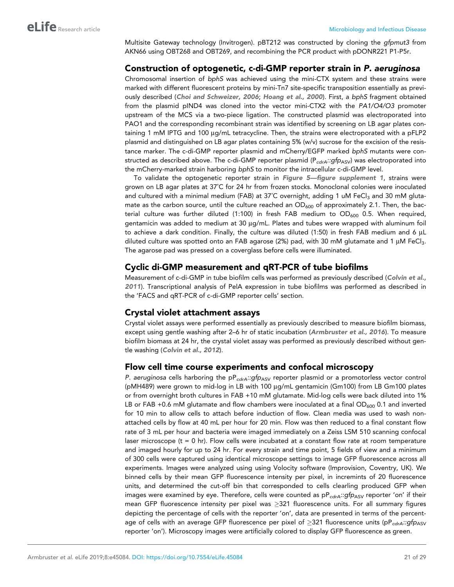Multisite Gateway technology (Invitrogen). pBT212 was constructed by cloning the *gfpmut3* from AKN66 using OBT268 and OBT269, and recombining the PCR product with pDONR221 P1-P5r.

#### Construction of optogenetic, c-di-GMP reporter strain in P. aeruginosa

Chromosomal insertion of *bphS* was achieved using the mini-CTX system and these strains were marked with different fluorescent proteins by mini-Tn7 site-specific transposition essentially as previously described ([Choi and Schweizer, 2006](#page-25-0); [Hoang et al., 2000](#page-26-0)). First, a *bphS* fragment obtained from the plasmid pIND4 was cloned into the vector mini-CTX2 with the *PA1/O4/O3* promoter upstream of the MCS via a two-piece ligation. The constructed plasmid was electroporated into PAO1 and the corresponding recombinant strain was identified by screening on LB agar plates containing 1 mM IPTG and 100 µg/mL tetracycline. Then, the strains were electroporated with a pFLP2 plasmid and distinguished on LB agar plates containing 5% (w/v) sucrose for the excision of the resistance marker. The c-di-GMP reporter plasmid and mCherry/EGFP marked *bphS* mutants were constructed as described above. The c-di-GMP reporter plasmid ( $P_{cde}$ *::gfp*<sub>ASV</sub>) was electroporated into the mCherry-marked strain harboring *bphS* to monitor the intracellular c-di-GMP level.

To validate the optogenetic reporter strain in [Figure 5—figure supplement 1](#page-12-0), strains were grown on LB agar plates at 37˚C for 24 hr from frozen stocks. Monoclonal colonies were inoculated and cultured with a minimal medium (FAB) at  $37^{\circ}$ C overnight, adding 1 uM FeCl<sub>3</sub> and 30 mM glutamate as the carbon source, until the culture reached an  $OD_{600}$  of approximately 2.1. Then, the bacterial culture was further diluted (1:100) in fresh FAB medium to  $OD_{600}$  0.5. When required, gentamicin was added to medium at 30 µg/mL. Plates and tubes were wrapped with aluminum foil to achieve a dark condition. Finally, the culture was diluted (1:50) in fresh FAB medium and 6  $\mu$ L diluted culture was spotted onto an FAB agarose (2%) pad, with 30 mM glutamate and 1  $\mu$ M FeCl<sub>3</sub>. The agarose pad was pressed on a coverglass before cells were illuminated.

#### Cyclic di-GMP measurement and qRT-PCR of tube biofilms

Measurement of c-di-GMP in tube biofilm cells was performed as previously described ([Colvin et al.,](#page-25-0) [2011](#page-25-0)). Transcriptional analysis of PelA expression in tube biofilms was performed as described in the 'FACS and qRT-PCR of c-di-GMP reporter cells' section.

#### Crystal violet attachment assays

Crystal violet assays were performed essentially as previously described to measure biofilm biomass, except using gentle washing after 2–6 hr of static incubation ([Armbruster et al., 2016](#page-25-0)). To measure biofilm biomass at 24 hr, the crystal violet assay was performed as previously described without gentle washing ([Colvin et al., 2012](#page-25-0)).

#### Flow cell time course experiments and confocal microscopy

*P. aeruginosa* cells harboring the pP*cdrA::gfp*ASV reporter plasmid or a promotorless vector control (pMH489) were grown to mid-log in LB with 100 μg/mL gentamicin (Gm100) from LB Gm100 plates or from overnight broth cultures in FAB +10 mM glutamate. Mid-log cells were back diluted into 1% LB or FAB +0.6 mM glutamate and flow chambers were inoculated at a final  $OD<sub>600</sub>$  0.1 and inverted for 10 min to allow cells to attach before induction of flow. Clean media was used to wash nonattached cells by flow at 40 mL per hour for 20 min. Flow was then reduced to a final constant flow rate of 3 mL per hour and bacteria were imaged immediately on a Zeiss LSM 510 scanning confocal laser microscope ( $t = 0$  hr). Flow cells were incubated at a constant flow rate at room temperature and imaged hourly for up to 24 hr. For every strain and time point, 5 fields of view and a minimum of 300 cells were captured using identical microscope settings to image GFP fluorescence across all experiments. Images were analyzed using using Volocity software (Improvision, Coventry, UK). We binned cells by their mean GFP fluorescence intensity per pixel, in incremints of 20 fluorescence units, and determined the cut-off bin that corresponded to cells clearling produced GFP when images were examined by eye. Therefore, cells were counted as pP<sub>cdrA</sub>::gfp<sub>ASV</sub> reporter 'on' if their mean GFP fluorescence intensity per pixel was  $\geq$ 321 fluorescence units. For all summary figures depicting the percentage of cells with the reporter 'on', data are presented in terms of the percentage of cells with an average GFP fluorescence per pixel of  $\geq$ 321 fluorescence units (pP<sub>cdrA</sub>*::gfp*<sub>ASV</sub> reporter 'on'). Microscopy images were artificially colored to display GFP fluorescence as green.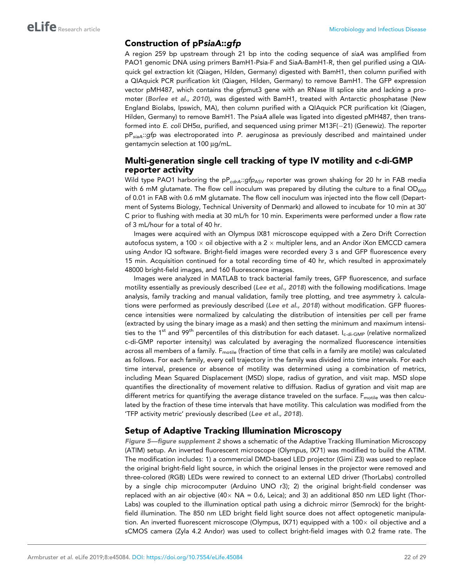### Construction of pPsiaA::gfp

A region 259 bp upstream through 21 bp into the coding sequence of *siaA* was amplified from PAO1 genomic DNA using primers BamH1-Psia-F and SiaA-BamH1-R, then gel purified using a QIAquick gel extraction kit (Qiagen, Hilden, Germany) digested with BamH1, then column purified with a QIAquick PCR purification kit (Qiagen, Hilden, Germany) to remove BamH1. The GFP expression vector pMH487, which contains the *gfp*mut3 gene with an RNase III splice site and lacking a promoter ([Borlee et al., 2010](#page-25-0)), was digested with BamH1, treated with Antarctic phosphatase (New England Biolabs, Ipswich, MA), then column purified with a QIAquick PCR purification kit (Qiagen, Hilden, Germany) to remove BamH1. The P*siaA* allele was ligated into digested pMH487, then transformed into *E. coli* DH5α, purified, and sequenced using primer M13F(-21) (Genewiz). The reporter pP*siaA::gfp* was electroporated into *P. aeruginosa* as previously described and maintained under gentamycin selection at 100 µg/mL.

### Multi-generation single cell tracking of type IV motility and c-di-GMP reporter activity

Wild type PAO1 harboring the pP<sub>cdrA</sub>::gfp<sub>ASV</sub> reporter was grown shaking for 20 hr in FAB media with 6 mM glutamate. The flow cell inoculum was prepared by diluting the culture to a final  $OD_{600}$ of 0.01 in FAB with 0.6 mM glutamate. The flow cell inoculum was injected into the flow cell (Department of Systems Biology, Technical University of Denmark) and allowed to incubate for 10 min at 30˚ C prior to flushing with media at 30 mL/h for 10 min. Experiments were performed under a flow rate of 3 mL/hour for a total of 40 hr.

Images were acquired with an Olympus IX81 microscope equipped with a Zero Drift Correction autofocus system, a 100  $\times$  oil objective with a 2  $\times$  multipler lens, and an Andor iXon EMCCD camera using Andor IQ software. Bright-field images were recorded every 3 s and GFP fluorescence every 15 min. Acquisition continued for a total recording time of 40 hr, which resulted in approximately 48000 bright-field images, and 160 fluorescence images.

Images were analyzed in MATLAB to track bacterial family trees, GFP fluorescence, and surface motility essentially as previously described ([Lee et al., 2018](#page-27-0)) with the following modifications. Image analysis, family tracking and manual validation, family tree plotting, and tree asymmetry  $\lambda$  calcula-tions were performed as previously described ([Lee et al., 2018](#page-27-0)) without modification. GFP fluorescence intensities were normalized by calculating the distribution of intensities per cell per frame (extracted by using the binary image as a mask) and then setting the minimum and maximum intensities to the 1<sup>st</sup> and 99<sup>th</sup> percentiles of this distribution for each dataset. I<sub>c-di-GMP</sub> (relative normalized c-di-GMP reporter intensity) was calculated by averaging the normalized fluorescence intensities across all members of a family. F<sub>motile</sub> (fraction of time that cells in a family are motile) was calculated as follows. For each family, every cell trajectory in the family was divided into time intervals. For each time interval, presence or absence of motility was determined using a combination of metrics, including Mean Squared Displacement (MSD) slope, radius of gyration, and visit map. MSD slope quantifies the directionality of movement relative to diffusion. Radius of gyration and visit map are different metrics for quantifying the average distance traveled on the surface. F<sub>motile</sub> was then calculated by the fraction of these time intervals that have motility. This calculation was modified from the 'TFP activity metric' previously described ([Lee et al., 2018](#page-27-0)).

### Setup of Adaptive Tracking Illumination Microscopy

[Figure 5—figure supplement 2](#page-12-0) shows a schematic of the Adaptive Tracking Illumination Microscopy (ATIM) setup. An inverted fluorescent microscope (Olympus, IX71) was modified to build the ATIM. The modification includes: 1) a commercial DMD-based LED projector (Gimi Z3) was used to replace the original bright-field light source, in which the original lenses in the projector were removed and three-colored (RGB) LEDs were rewired to connect to an external LED driver (ThorLabs) controlled by a single chip microcomputer (Arduino UNO r3); 2) the original bright-field condenser was replaced with an air objective (40 $\times$  NA = 0.6, Leica); and 3) an additional 850 nm LED light (Thor-Labs) was coupled to the illumination optical path using a dichroic mirror (Semrock) for the brightfield illumination. The 850 nm LED bright field light source does not affect optogenetic manipulation. An inverted fluorescent microscope (Olympus, IX71) equipped with a 100 $\times$  oil objective and a sCMOS camera (Zyla 4.2 Andor) was used to collect bright-field images with 0.2 frame rate. The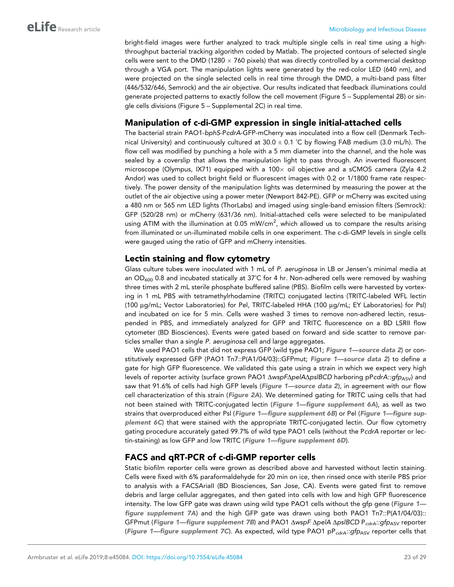bright-field images were further analyzed to track multiple single cells in real time using a highthroughput bacterial tracking algorithm coded by Matlab. The projected contours of selected single cells were sent to the DMD (1280  $\times$  760 pixels) that was directly controlled by a commercial desktop through a VGA port. The manipulation lights were generated by the red-color LED (640 nm), and were projected on the single selected cells in real time through the DMD, a multi-band pass filter (446/532/646, Semrock) and the air objective. Our results indicated that feedback illuminations could generate projected patterns to exactly follow the cell movement (Figure 5 – Supplemental 2B) or single cells divisions (Figure 5 – Supplemental 2C) in real time.

### Manipulation of c-di-GMP expression in single initial-attached cells

The bacterial strain PAO1-*bphS*-P*cdrA*-GFP-mCherry was inoculated into a flow cell (Denmark Technical University) and continuously cultured at 30.0  $\pm$  0.1 °C by flowing FAB medium (3.0 mL/h). The flow cell was modified by punching a hole with a 5 mm diameter into the channel, and the hole was sealed by a coverslip that allows the manipulation light to pass through. An inverted fluorescent microscope (Olympus, IX71) equipped with a 100 $\times$  oil objective and a sCMOS camera (Zyla 4.2 Andor) was used to collect bright field or fluorescent images with 0.2 or 1/1800 frame rate respectively. The power density of the manipulation lights was determined by measuring the power at the outlet of the air objective using a power meter (Newport 842-PE). GFP or mCherry was excited using a 480 nm or 565 nm LED lights (ThorLabs) and imaged using single-band emission filters (Semrock): GFP (520/28 nm) or mCherry (631/36 nm). Initial-attached cells were selected to be manipulated using ATIM with the illumination at 0.05 mW/cm<sup>2</sup>, which allowed us to compare the results arising from illuminated or un-illuminated mobile cells in one experiment. The c-di-GMP levels in single cells were gauged using the ratio of GFP and mCherry intensities.

#### Lectin staining and flow cytometry

Glass culture tubes were inoculated with 1 mL of *P. aeruginosa* in LB or Jensen's minimal media at an  $OD<sub>600</sub>$  0.8 and incubated statically at 37°C for 4 hr. Non-adhered cells were removed by washing three times with 2 mL sterile phosphate buffered saline (PBS). Biofilm cells were harvested by vortexing in 1 mL PBS with tetramethylrhodamine (TRITC) conjugated lectins (TRITC-labeled WFL lectin (100 µg/mL; Vector Laboratories) for Pel, TRITC-labeled HHA (100 µg/mL; EY Laboratories) for Psl) and incubated on ice for 5 min. Cells were washed 3 times to remove non-adhered lectin, resuspended in PBS, and immediately analyzed for GFP and TRITC fluorescence on a BD LSRII flow cytometer (BD Biosciences). Events were gated based on forward and side scatter to remove particles smaller than a single *P. aeruginosa* cell and large aggregates.

We used PAO1 cells that did not express GFP (wild type PAO1; [Figure 1—source data 2](#page-4-0)) or constitutively expressed GFP (PAO1 Tn7::P(A1/04/03)::GFPmut; [Figure 1—source data 2](#page-4-0)) to define a gate for high GFP fluorescence. We validated this gate using a strain in which we expect very high levels of reporter activity (surface grown PAO1 ΔwspFΔpelAΔpslBCD harboring pPcdrA::gfp<sub>ASV</sub>) and saw that 91.6% of cells had high GFP levels (Figure 1-source data 2), in agreement with our flow cell characterization of this strain ([Figure 2A](#page-6-0)). We determined gating for TRITC using cells that had not been stained with TRITC-conjugated lectin ([Figure 1—figure supplement 6A](#page-4-0)), as well as two strains that overproduced either Psl ([Figure 1—figure supplement 6B](#page-4-0)) or Pel ([Figure 1—figure sup](#page-4-0)[plement](#page-4-0)  $6C$ ) that were stained with the appropriate TRITC-conjugated lectin. Our flow cytometry gating procedure accurately gated 99.7% of wild type PAO1 cells (without the P*cdrA* reporter or lectin-staining) as low GFP and low TRITC (Figure 1-figure supplement 6D).

# FACS and qRT-PCR of c-di-GMP reporter cells

Static biofilm reporter cells were grown as described above and harvested without lectin staining. Cells were fixed with 6% paraformaldehyde for 20 min on ice, then rinsed once with sterile PBS prior to analysis with a FACSAriaII (BD Biosciences, San Jose, CA). Events were gated first to remove debris and large cellular aggregates, and then gated into cells with low and high GFP fluorescence intensity. The low GFP gate was drawn using wild type PAO1 cells without the gfp gene ([Figure 1](#page-4-0) figure [supplement 7A](#page-4-0)) and the high GFP gate was drawn using both PAO1 Tn7::P(A1/04/03):: GFPmut ([Figure 1—figure supplement 7B](#page-4-0)) and PAO1 ΔwspF ΔpelA ΔpslBCD P<sub>cdrA</sub>::gfp<sub>ASV</sub> reporter ([Figure 1—figure supplement 7C](#page-4-0)). As expected, wild type PAO1 pP<sub>cdrA</sub>::gfp<sub>ASV</sub> reporter cells that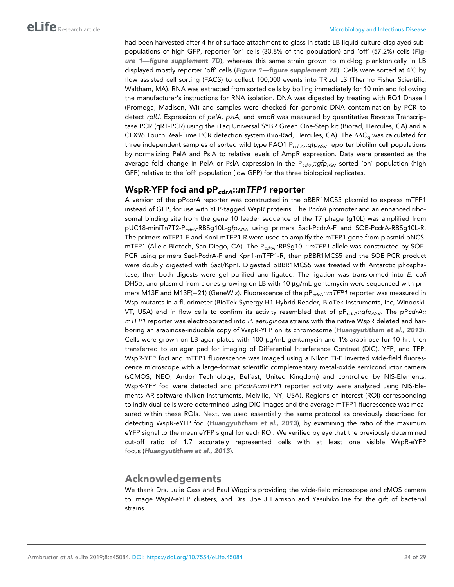had been harvested after 4 hr of surface attachment to glass in static LB liquid culture displayed subpopulations of high GFP, reporter 'on' cells (30.8% of the population) and 'off' (57.2%) cells ([Fig](#page-4-0)ure [1—figure supplement 7D](#page-4-0)), whereas this same strain grown to mid-log planktonically in LB displayed mostly reporter 'off' cells ([Figure 1—figure supplement 7E](#page-4-0)). Cells were sorted at 4˚C by flow assisted cell sorting (FACS) to collect 100,000 events into TRIzol LS (Thermo Fisher Scientific, Waltham, MA). RNA was extracted from sorted cells by boiling immediately for 10 min and following the manufacturer's instructions for RNA isolation. DNA was digested by treating with RQ1 Dnase I (Promega, Madison, WI) and samples were checked for genomic DNA contamination by PCR to detect *rplU*. Expression of *pelA*, *pslA*, and *ampR* was measured by quantitative Reverse Transcriptase PCR (qRT-PCR) using the iTaq Universal SYBR Green One-Step kit (Biorad, Hercules, CA) and a CFX96 Touch Real-Time PCR detection system (Bio-Rad, Hercules, CA). The  $\Delta\Delta C_{q}$  was calculated for three independent samples of sorted wild type PAO1 P<sub>cdrA</sub>::gfp<sub>ASV</sub> reporter biofilm cell populations by normalizing PelA and PslA to relative levels of AmpR expression. Data were presented as the average fold change in PelA or PslA expression in the P<sub>cdrA</sub>::gfp<sub>ASV</sub> sorted 'on' population (high GFP) relative to the 'off' population (low GFP) for the three biological replicates.

# WspR-YFP foci and  $pP_{cdrA}::mTFP1$  reporter

A version of the pP*cdrA* reporter was constructed in the pBBR1MCS5 plasmid to express mTFP1 instead of GFP, for use with YFP-tagged WspR proteins. The P*cdrA* promoter and an enhanced ribosomal binding site from the gene 10 leader sequence of the T7 phage (g10L) was amplified from pUC18-miniTn7T2-P<sub>cdrA</sub>-RBSg10L-gfp<sub>AGA</sub> using primers Sacl-PcdrA-F and SOE-PcdrA-RBSg10L-R. The primers mTFP1-F and KpnI-mTFP1-R were used to amplify the mTFP1 gene from plasmid pNCSmTFP1 (Allele Biotech, San Diego, CA). The P*cdrA*::RBSg10L::*mTFP1* allele was constructed by SOE-PCR using primers SacI-PcdrA-F and Kpn1-mTFP1-R, then pBBR1MCS5 and the SOE PCR product were doubly digested with SacI/KpnI. Digested pBBR1MCS5 was treated with Antarctic phosphatase, then both digests were gel purified and ligated. The ligation was transformed into *E. coli* DH5 $\alpha$ , and plasmid from clones growing on LB with 10  $\mu$ g/mL gentamycin were sequenced with primers M13F and M13F(-21) (GeneWiz). Fluorescence of the pP<sub>cdrA</sub>::mTFP1 reporter was measured in Wsp mutants in a fluorimeter (BioTek Synergy H1 Hybrid Reader, BioTek Instruments, Inc, Winooski, VT, USA) and in flow cells to confirm its activity resembled that of pP<sub>cdrA</sub>::gfp<sub>ASV</sub>. The pPcdrA:: *mTFP1* reporter was electroporated into *P. aeruginosa* strains with the native WspR deleted and harboring an arabinose-inducible copy of WspR-YFP on its chromosome ([Huangyutitham et al., 2013](#page-26-0)). Cells were grown on LB agar plates with 100 µg/mL gentamycin and 1% arabinose for 10 hr, then transferred to an agar pad for imaging of Differential Interference Contrast (DIC), YFP, and TFP. WspR-YFP foci and mTFP1 fluorescence was imaged using a Nikon Ti-E inverted wide-field fluorescence microscope with a large-format scientific complementary metal-oxide semiconductor camera (sCMOS; NEO, Andor Technology, Belfast, United Kingdom) and controlled by NIS-Elements. WspR-YFP foci were detected and pP*cdrA::mTFP1* reporter activity were analyzed using NIS-Elements AR software (Nikon Instruments, Melville, NY, USA). Regions of interest (ROI) corresponding to individual cells were determined using DIC images and the average mTFP1 fluorescence was measured within these ROIs. Next, we used essentially the same protocol as previously described for detecting WspR-eYFP foci ([Huangyutitham et al., 2013](#page-26-0)), by examining the ratio of the maximum eYFP signal to the mean eYFP signal for each ROI. We verified by eye that the previously determined cut-off ratio of 1.7 accurately represented cells with at least one visible WspR-eYFP focus ([Huangyutitham et al., 2013](#page-26-0)).

# Acknowledgements

We thank Drs. Julie Cass and Paul Wiggins providing the wide-field microscope and cMOS camera to image WspR-eYFP clusters, and Drs. Joe J Harrison and Yasuhiko Irie for the gift of bacterial strains.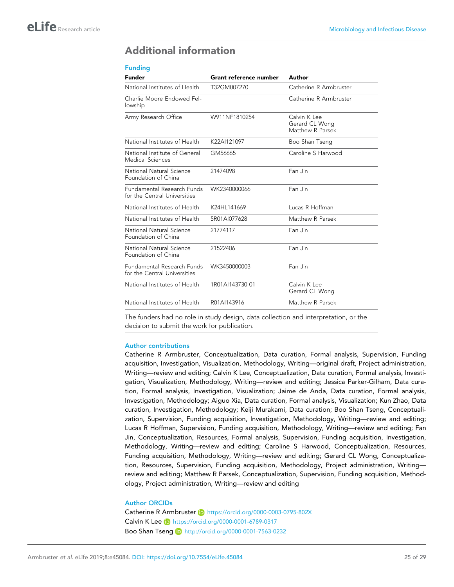# <span id="page-24-0"></span>Additional information

#### Funding

| <b>Funder</b>                                                     | Grant reference number | Author                                             |  |
|-------------------------------------------------------------------|------------------------|----------------------------------------------------|--|
| National Institutes of Health                                     | T32GM007270            | Catherine R Armbruster                             |  |
| Charlie Moore Endowed Fel-<br>lowship                             |                        | Catherine R Armbruster                             |  |
| Army Research Office                                              | W911NF1810254          | Calvin K Lee<br>Gerard CL Wong<br>Matthew R Parsek |  |
| National Institutes of Health                                     | K22AI121097            | Boo Shan Tseng                                     |  |
| National Institute of General<br>Medical Sciences                 | GM56665                | Caroline S Harwood                                 |  |
| National Natural Science<br>Foundation of China                   | 21474098               | Fan Jin                                            |  |
| <b>Fundamental Research Funds</b><br>for the Central Universities | WK2340000066           | Fan Jin                                            |  |
| National Institutes of Health                                     | K24HL141669            | Lucas R Hoffman                                    |  |
| National Institutes of Health                                     | 5R01AI077628           | Matthew R Parsek                                   |  |
| National Natural Science<br>Foundation of China                   | 21774117               | Fan Jin                                            |  |
| National Natural Science<br>Foundation of China                   | 21522406               | Fan Jin                                            |  |
| <b>Fundamental Research Funds</b><br>for the Central Universities | WK3450000003           | Fan Jin                                            |  |
| National Institutes of Health                                     | 1R01AI143730-01        | Calvin K Lee<br>Gerard CL Wong                     |  |
| National Institutes of Health                                     | R01AI143916            | Matthew R Parsek                                   |  |

The funders had no role in study design, data collection and interpretation, or the decision to submit the work for publication.

#### Author contributions

Catherine R Armbruster, Conceptualization, Data curation, Formal analysis, Supervision, Funding acquisition, Investigation, Visualization, Methodology, Writing—original draft, Project administration, Writing—review and editing; Calvin K Lee, Conceptualization, Data curation, Formal analysis, Investigation, Visualization, Methodology, Writing—review and editing; Jessica Parker-Gilham, Data curation, Formal analysis, Investigation, Visualization; Jaime de Anda, Data curation, Formal analysis, Investigation, Methodology; Aiguo Xia, Data curation, Formal analysis, Visualization; Kun Zhao, Data curation, Investigation, Methodology; Keiji Murakami, Data curation; Boo Shan Tseng, Conceptualization, Supervision, Funding acquisition, Investigation, Methodology, Writing—review and editing; Lucas R Hoffman, Supervision, Funding acquisition, Methodology, Writing—review and editing; Fan Jin, Conceptualization, Resources, Formal analysis, Supervision, Funding acquisition, Investigation, Methodology, Writing—review and editing; Caroline S Harwood, Conceptualization, Resources, Funding acquisition, Methodology, Writing—review and editing; Gerard CL Wong, Conceptualization, Resources, Supervision, Funding acquisition, Methodology, Project administration, Writing review and editing; Matthew R Parsek, Conceptualization, Supervision, Funding acquisition, Methodology, Project administration, Writing—review and editing

#### Author ORCIDs

Catherine R Armbruster iD <https://orcid.org/0000-0003-0795-802X> Calvin K Lee (D <https://orcid.org/0000-0001-6789-0317> Boo Shan Tseng **b** <http://orcid.org/0000-0001-7563-0232>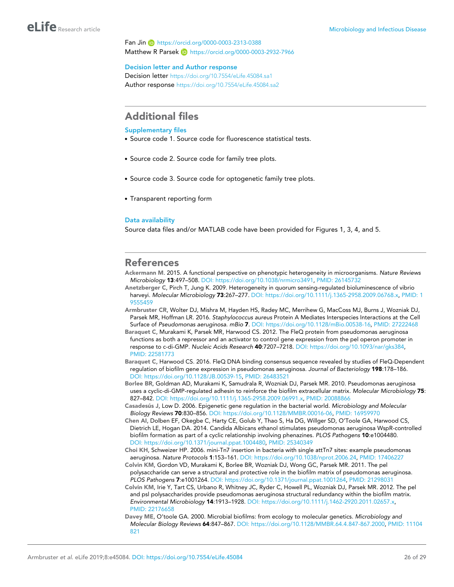<span id="page-25-0"></span>Fan Jin <https://orcid.org/0000-0003-2313-0388> Matthew R Parsek **iD** <https://orcid.org/0000-0003-2932-7966>

#### Decision letter and Author response

Decision letter <https://doi.org/10.7554/eLife.45084.sa1> Author response <https://doi.org/10.7554/eLife.45084.sa2>

# Additional files

#### Supplementary files

- . Source code 1. Source code for fluorescence statistical tests.
- . Source code 2. Source code for family tree plots.
- . Source code 3. Source code for optogenetic family tree plots.
- . Transparent reporting form

#### Data availability

Source data files and/or MATLAB code have been provided for Figures 1, 3, 4, and 5.

### References

- Ackermann M. 2015. A functional perspective on phenotypic heterogeneity in microorganisms. *Nature Reviews Microbiology* 13:497–508. DOI: [https://doi.org/10.1038/nrmicro3491,](https://doi.org/10.1038/nrmicro3491) PMID: [26145732](http://www.ncbi.nlm.nih.gov/pubmed/26145732)
- Anetzberger C, Pirch T, Jung K. 2009. Heterogeneity in quorum sensing-regulated bioluminescence of vibrio harveyi. *Molecular Microbiology* 73:267–277. DOI:<https://doi.org/10.1111/j.1365-2958.2009.06768.x>, PMID: [1](http://www.ncbi.nlm.nih.gov/pubmed/19555459) [9555459](http://www.ncbi.nlm.nih.gov/pubmed/19555459)
- Armbruster CR, Wolter DJ, Mishra M, Hayden HS, Radey MC, Merrihew G, MacCoss MJ, Burns J, Wozniak DJ, Parsek MR, Hoffman LR. 2016. *Staphylococcus aureus* Protein A Mediates Interspecies Interactions at the Cell Surface of *Pseudomonas aeruginosa*. *mBio* 7. DOI: [https://doi.org/10.1128/mBio.00538-16,](https://doi.org/10.1128/mBio.00538-16) PMID: [27222468](http://www.ncbi.nlm.nih.gov/pubmed/27222468)
- Baraquet C, Murakami K, Parsek MR, Harwood CS. 2012. The FleQ protein from pseudomonas aeruginosa functions as both a repressor and an activator to control gene expression from the pel operon promoter in response to c-di-GMP. *Nucleic Acids Research* 40:7207–7218. DOI:<https://doi.org/10.1093/nar/gks384>, PMID: [22581773](http://www.ncbi.nlm.nih.gov/pubmed/22581773)
- Baraquet C, Harwood CS. 2016. FleQ DNA binding consensus sequence revealed by studies of FleQ-Dependent regulation of biofilm gene expression in pseudomonas aeruginosa. *Journal of Bacteriology* 198:178–186. DOI:<https://doi.org/10.1128/JB.00539-15>, PMID: [26483521](http://www.ncbi.nlm.nih.gov/pubmed/26483521)
- Borlee BR, Goldman AD, Murakami K, Samudrala R, Wozniak DJ, Parsek MR. 2010. Pseudomonas aeruginosa uses a cyclic-di-GMP-regulated adhesin to reinforce the biofilm extracellular matrix. *Molecular Microbiology* 75: 827–842. DOI: [https://doi.org/10.1111/j.1365-2958.2009.06991.x,](https://doi.org/10.1111/j.1365-2958.2009.06991.x) PMID: [20088866](http://www.ncbi.nlm.nih.gov/pubmed/20088866)
- Casadesús J, Low D. 2006. Epigenetic gene regulation in the bacterial world. *Microbiology and Molecular Biology Reviews* 70:830–856. DOI:<https://doi.org/10.1128/MMBR.00016-06>, PMID: [16959970](http://www.ncbi.nlm.nih.gov/pubmed/16959970)
- Chen AI, Dolben EF, Okegbe C, Harty CE, Golub Y, Thao S, Ha DG, Willger SD, O'Toole GA, Harwood CS, Dietrich LE, Hogan DA. 2014. Candida Albicans ethanol stimulates pseudomonas aeruginosa WspR-controlled biofilm formation as part of a cyclic relationship involving phenazines. *PLOS Pathogens* 10:e1004480. DOI: [https://doi.org/10.1371/journal.ppat.1004480,](https://doi.org/10.1371/journal.ppat.1004480) PMID: [25340349](http://www.ncbi.nlm.nih.gov/pubmed/25340349)

Choi KH, Schweizer HP. 2006. mini-Tn7 insertion in bacteria with single attTn7 sites: example pseudomonas aeruginosa. *Nature Protocols* 1:153–161. DOI: [https://doi.org/10.1038/nprot.2006.24,](https://doi.org/10.1038/nprot.2006.24) PMID: [17406227](http://www.ncbi.nlm.nih.gov/pubmed/17406227)

- Colvin KM, Gordon VD, Murakami K, Borlee BR, Wozniak DJ, Wong GC, Parsek MR. 2011. The pel polysaccharide can serve a structural and protective role in the biofilm matrix of pseudomonas aeruginosa. *PLOS Pathogens* 7:e1001264. DOI: [https://doi.org/10.1371/journal.ppat.1001264,](https://doi.org/10.1371/journal.ppat.1001264) PMID: [21298031](http://www.ncbi.nlm.nih.gov/pubmed/21298031)
- Colvin KM, Irie Y, Tart CS, Urbano R, Whitney JC, Ryder C, Howell PL, Wozniak DJ, Parsek MR. 2012. The pel and psl polysaccharides provide pseudomonas aeruginosa structural redundancy within the biofilm matrix. *Environmental Microbiology* 14:1913–1928. DOI:<https://doi.org/10.1111/j.1462-2920.2011.02657.x>, PMID: [22176658](http://www.ncbi.nlm.nih.gov/pubmed/22176658)
- Davey ME, O'toole GA. 2000. Microbial biofilms: from ecology to molecular genetics. *Microbiology and Molecular Biology Reviews* 64:847–867. DOI: [https://doi.org/10.1128/MMBR.64.4.847-867.2000,](https://doi.org/10.1128/MMBR.64.4.847-867.2000) PMID: [11104](http://www.ncbi.nlm.nih.gov/pubmed/11104821) [821](http://www.ncbi.nlm.nih.gov/pubmed/11104821)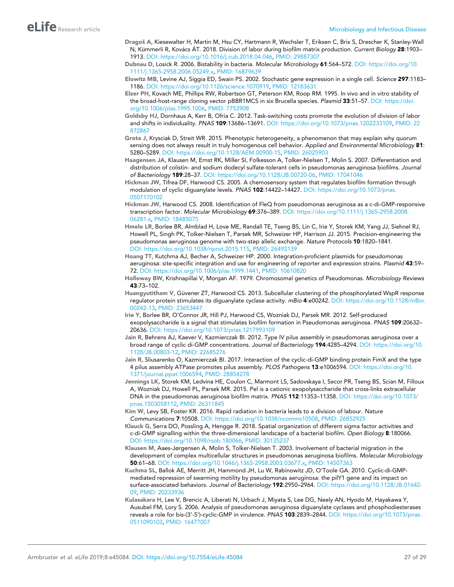- <span id="page-26-0"></span>Dragoš A, Kiesewalter H, Martin M, Hsu CY, Hartmann R, Wechsler T, Eriksen C, Brix S, Drescher K, Stanley-Wall N, Kümmerli R, Kovács ÁT. 2018. Division of labor during biofilm matrix production. *Current Biology* 28:1903– 1913. DOI:<https://doi.org/10.1016/j.cub.2018.04.046>, PMID: [29887307](http://www.ncbi.nlm.nih.gov/pubmed/29887307)
- Dubnau D, Losick R. 2006. Bistability in bacteria. *Molecular Microbiology* 61:564–572. DOI: [https://doi.org/10.](https://doi.org/10.1111/j.1365-2958.2006.05249.x) [1111/j.1365-2958.2006.05249.x](https://doi.org/10.1111/j.1365-2958.2006.05249.x), PMID: [16879639](http://www.ncbi.nlm.nih.gov/pubmed/16879639)
- Elowitz MB, Levine AJ, Siggia ED, Swain PS. 2002. Stochastic gene expression in a single cell. *Science* 297:1183– 1186. DOI: [https://doi.org/10.1126/science.1070919,](https://doi.org/10.1126/science.1070919) PMID: [12183631](http://www.ncbi.nlm.nih.gov/pubmed/12183631)
- Elzer PH, Kovach ME, Phillips RW, Robertson GT, Peterson KM, Roop RM. 1995. In vivo and in vitro stability of the broad-host-range cloning vector pBBR1MCS in six Brucella species. *Plasmid* 33:51–57. DOI: [https://doi.](https://doi.org/10.1006/plas.1995.1006) [org/10.1006/plas.1995.1006](https://doi.org/10.1006/plas.1995.1006), PMID: [7753908](http://www.ncbi.nlm.nih.gov/pubmed/7753908)
- Goldsby HJ, Dornhaus A, Kerr B, Ofria C. 2012. Task-switching costs promote the evolution of division of labor and shifts in individuality. *PNAS* 109:13686–13691. DOI: [https://doi.org/10.1073/pnas.1202233109,](https://doi.org/10.1073/pnas.1202233109) PMID: [22](http://www.ncbi.nlm.nih.gov/pubmed/22872867) [872867](http://www.ncbi.nlm.nih.gov/pubmed/22872867)
- Grote J, Krysciak D, Streit WR. 2015. Phenotypic heterogeneity, a phenomenon that may explain why quorum sensing does not always result in truly homogenous cell behavior. *Applied and Environmental Microbiology* 81: 5280–5289. DOI: [https://doi.org/10.1128/AEM.00900-15,](https://doi.org/10.1128/AEM.00900-15) PMID: [26025903](http://www.ncbi.nlm.nih.gov/pubmed/26025903)
- Haagensen JA, Klausen M, Ernst RK, Miller SI, Folkesson A, Tolker-Nielsen T, Molin S. 2007. Differentiation and distribution of colistin- and sodium dodecyl sulfate-tolerant cells in pseudomonas aeruginosa biofilms. *Journal of Bacteriology* 189:28–37. DOI:<https://doi.org/10.1128/JB.00720-06>, PMID: [17041046](http://www.ncbi.nlm.nih.gov/pubmed/17041046)
- Hickman JW, Tifrea DF, Harwood CS. 2005. A chemosensory system that regulates biofilm formation through modulation of cyclic diguanylate levels. *PNAS* 102:14422–14427. DOI: [https://doi.org/10.1073/pnas.](https://doi.org/10.1073/pnas.0507170102) [0507170102](https://doi.org/10.1073/pnas.0507170102)
- Hickman JW, Harwood CS. 2008. Identification of FleQ from pseudomonas aeruginosa as a c-di-GMP-responsive transcription factor. *Molecular Microbiology* 69:376–389. DOI: [https://doi.org/10.1111/j.1365-2958.2008.](https://doi.org/10.1111/j.1365-2958.2008.06281.x) [06281.x,](https://doi.org/10.1111/j.1365-2958.2008.06281.x) PMID: [18485075](http://www.ncbi.nlm.nih.gov/pubmed/18485075)
- Hmelo LR, Borlee BR, Almblad H, Love ME, Randall TE, Tseng BS, Lin C, Irie Y, Storek KM, Yang JJ, Siehnel RJ, Howell PL, Singh PK, Tolker-Nielsen T, Parsek MR, Schweizer HP, Harrison JJ. 2015. Precision-engineering the pseudomonas aeruginosa genome with two-step allelic exchange. *Nature Protocols* 10:1820–1841. DOI: [https://doi.org/10.1038/nprot.2015.115,](https://doi.org/10.1038/nprot.2015.115) PMID: [26492139](http://www.ncbi.nlm.nih.gov/pubmed/26492139)
- Hoang TT, Kutchma AJ, Becher A, Schweizer HP. 2000. Integration-proficient plasmids for pseudomonas aeruginosa: site-specific integration and use for engineering of reporter and expression strains. *Plasmid* 43:59– 72. DOI:<https://doi.org/10.1006/plas.1999.1441>, PMID: [10610820](http://www.ncbi.nlm.nih.gov/pubmed/10610820)
- Holloway BW, Krishnapillai V, Morgan AF. 1979. Chromosomal genetics of Pseudomonas. *Microbiology Reviews* 43:73–102.
- Huangyutitham V, Güvener ZT, Harwood CS. 2013. Subcellular clustering of the phosphorylated WspR response regulator protein stimulates its diguanylate cyclase activity. *mBio* 4:e00242. DOI: [https://doi.org/10.1128/mBio.](https://doi.org/10.1128/mBio.00242-13) [00242-13,](https://doi.org/10.1128/mBio.00242-13) PMID: [23653447](http://www.ncbi.nlm.nih.gov/pubmed/23653447)
- Irie Y, Borlee BR, O'Connor JR, Hill PJ, Harwood CS, Wozniak DJ, Parsek MR. 2012. Self-produced exopolysaccharide is a signal that stimulates biofilm formation in Pseudomonas aeruginosa. *PNAS* 109:20632– 20636. DOI:<https://doi.org/10.1073/pnas.1217993109>
- Jain R, Behrens AJ, Kaever V, Kazmierczak BI. 2012. Type IV pilus assembly in pseudomonas aeruginosa over a broad range of cyclic di-GMP concentrations. *Journal of Bacteriology* 194:4285–4294. DOI: [https://doi.org/10.](https://doi.org/10.1128/JB.00803-12) [1128/JB.00803-12](https://doi.org/10.1128/JB.00803-12), PMID: [22685276](http://www.ncbi.nlm.nih.gov/pubmed/22685276)
- Jain R, Sliusarenko O, Kazmierczak BI. 2017. Interaction of the cyclic-di-GMP binding protein FimX and the type 4 pilus assembly ATPase promotes pilus assembly. *PLOS Pathogens* 13:e1006594. DOI: [https://doi.org/10.](https://doi.org/10.1371/journal.ppat.1006594) [1371/journal.ppat.1006594](https://doi.org/10.1371/journal.ppat.1006594), PMID: [28854278](http://www.ncbi.nlm.nih.gov/pubmed/28854278)
- Jennings LK, Storek KM, Ledvina HE, Coulon C, Marmont LS, Sadovskaya I, Secor PR, Tseng BS, Scian M, Filloux A, Wozniak DJ, Howell PL, Parsek MR. 2015. Pel is a cationic exopolysaccharide that cross-links extracellular DNA in the pseudomonas aeruginosa biofilm matrix. *PNAS* 112:11353–11358. DOI: [https://doi.org/10.1073/](https://doi.org/10.1073/pnas.1503058112) [pnas.1503058112](https://doi.org/10.1073/pnas.1503058112), PMID: [26311845](http://www.ncbi.nlm.nih.gov/pubmed/26311845)
- Kim W, Levy SB, Foster KR. 2016. Rapid radiation in bacteria leads to a division of labour. *Nature Communications* 7:10508. DOI:<https://doi.org/10.1038/ncomms10508>, PMID: [26852925](http://www.ncbi.nlm.nih.gov/pubmed/26852925)
- Klauck G, Serra DO, Possling A, Hengge R. 2018. Spatial organization of different sigma factor activities and c-di-GMP signalling within the three-dimensional landscape of a bacterial biofilm. *Open Biology* 8:180066. DOI:<https://doi.org/10.1098/rsob.180066>, PMID: [30135237](http://www.ncbi.nlm.nih.gov/pubmed/30135237)
- Klausen M, Aaes-Jørgensen A, Molin S, Tolker-Nielsen T. 2003. Involvement of bacterial migration in the development of complex multicellular structures in pseudomonas aeruginosa biofilms. *Molecular Microbiology* 50:61–68. DOI: [https://doi.org/10.1046/j.1365-2958.2003.03677.x,](https://doi.org/10.1046/j.1365-2958.2003.03677.x) PMID: [14507363](http://www.ncbi.nlm.nih.gov/pubmed/14507363)
- Kuchma SL, Ballok AE, Merritt JH, Hammond JH, Lu W, Rabinowitz JD, O'Toole GA. 2010. Cyclic-di-GMPmediated repression of swarming motility by pseudomonas aeruginosa: the pilY1 gene and its impact on surface-associated behaviors. *Journal of Bacteriology* 192:2950–2964. DOI: [https://doi.org/10.1128/JB.01642-](https://doi.org/10.1128/JB.01642-09) [09](https://doi.org/10.1128/JB.01642-09), PMID: [20233936](http://www.ncbi.nlm.nih.gov/pubmed/20233936)
- Kulasakara H, Lee V, Brencic A, Liberati N, Urbach J, Miyata S, Lee DG, Neely AN, Hyodo M, Hayakawa Y, Ausubel FM, Lory S. 2006. Analysis of pseudomonas aeruginosa diguanylate cyclases and phosphodiesterases reveals a role for bis-(3'-5')-cyclic-GMP in virulence. *PNAS* 103:2839–2844. DOI: [https://doi.org/10.1073/pnas.](https://doi.org/10.1073/pnas.0511090103) [0511090103](https://doi.org/10.1073/pnas.0511090103), PMID: [16477007](http://www.ncbi.nlm.nih.gov/pubmed/16477007)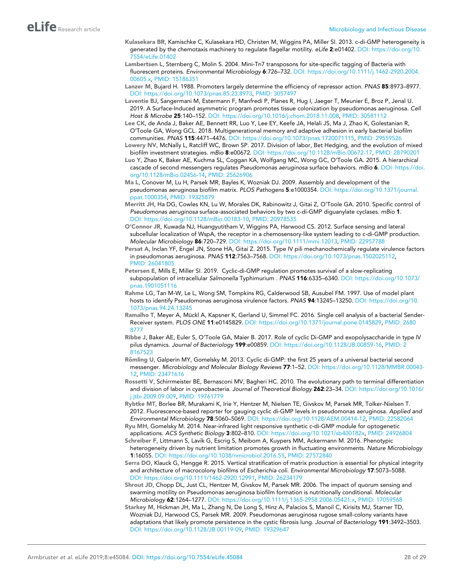- <span id="page-27-0"></span>Kulasekara BR, Kamischke C, Kulasekara HD, Christen M, Wiggins PA, Miller SI. 2013. c-di-GMP heterogeneity is generated by the chemotaxis machinery to regulate flagellar motility. *eLife* 2:e01402. DOI: [https://doi.org/10.](https://doi.org/10.7554/eLife.01402) [7554/eLife.01402](https://doi.org/10.7554/eLife.01402)
- Lambertsen L, Sternberg C, Molin S. 2004. Mini-Tn7 transposons for site-specific tagging of Bacteria with fluorescent proteins. *Environmental Microbiology* 6:726–732. DOI: [https://doi.org/10.1111/j.1462-2920.2004.](https://doi.org/10.1111/j.1462-2920.2004.00605.x) [00605.x,](https://doi.org/10.1111/j.1462-2920.2004.00605.x) PMID: [15186351](http://www.ncbi.nlm.nih.gov/pubmed/15186351)
- Lanzer M, Bujard H. 1988. Promoters largely determine the efficiency of repressor action. *PNAS* 85:8973–8977. DOI:<https://doi.org/10.1073/pnas.85.23.8973>, PMID: [3057497](http://www.ncbi.nlm.nih.gov/pubmed/3057497)
- Laventie BJ, Sangermani M, Estermann F, Manfredi P, Planes R, Hug I, Jaeger T, Meunier E, Broz P, Jenal U. 2019. A Surface-Induced asymmetric program promotes tissue colonization by pseudomonas aeruginosa. *Cell Host & Microbe* 25:140–152. DOI:<https://doi.org/10.1016/j.chom.2018.11.008>, PMID: [30581112](http://www.ncbi.nlm.nih.gov/pubmed/30581112)
- Lee CK, de Anda J, Baker AE, Bennett RR, Luo Y, Lee EY, Keefe JA, Helali JS, Ma J, Zhao K, Golestanian R, O'Toole GA, Wong GCL. 2018. Multigenerational memory and adaptive adhesion in early bacterial biofilm communities. *PNAS* 115:4471–4476. DOI: [https://doi.org/10.1073/pnas.1720071115,](https://doi.org/10.1073/pnas.1720071115) PMID: [29559526](http://www.ncbi.nlm.nih.gov/pubmed/29559526)
- Lowery NV, McNally L, Ratcliff WC, Brown SP. 2017. Division of labor, Bet Hedging, and the evolution of mixed biofilm investment strategies. *mBio* 8:e00672. DOI:<https://doi.org/10.1128/mBio.00672-17>, PMID: [28790201](http://www.ncbi.nlm.nih.gov/pubmed/28790201)
- Luo Y, Zhao K, Baker AE, Kuchma SL, Coggan KA, Wolfgang MC, Wong GC, O'Toole GA. 2015. A hierarchical cascade of second messengers regulates *Pseudomonas aeruginosa* surface behaviors. *mBio* 6. DOI: [https://doi.](https://doi.org/10.1128/mBio.02456-14) [org/10.1128/mBio.02456-14](https://doi.org/10.1128/mBio.02456-14), PMID: [25626906](http://www.ncbi.nlm.nih.gov/pubmed/25626906)
- Ma L, Conover M, Lu H, Parsek MR, Bayles K, Wozniak DJ. 2009. Assembly and development of the pseudomonas aeruginosa biofilm matrix. *PLOS Pathogens* 5:e1000354. DOI: [https://doi.org/10.1371/journal.](https://doi.org/10.1371/journal.ppat.1000354) [ppat.1000354](https://doi.org/10.1371/journal.ppat.1000354), PMID: [19325879](http://www.ncbi.nlm.nih.gov/pubmed/19325879)
- Merritt JH, Ha DG, Cowles KN, Lu W, Morales DK, Rabinowitz J, Gitai Z, O'Toole GA. 2010. Specific control of *Pseudomonas aeruginosa* surface-associated behaviors by two c-di-GMP diguanylate cyclases. *mBio* 1. DOI: [https://doi.org/10.1128/mBio.00183-10,](https://doi.org/10.1128/mBio.00183-10) PMID: [20978535](http://www.ncbi.nlm.nih.gov/pubmed/20978535)
- O'Connor JR, Kuwada NJ, Huangyutitham V, Wiggins PA, Harwood CS. 2012. Surface sensing and lateral subcellular localization of WspA, the receptor in a chemosensory-like system leading to c-di-GMP production. *Molecular Microbiology* 86:720–729. DOI:<https://doi.org/10.1111/mmi.12013>, PMID: [22957788](http://www.ncbi.nlm.nih.gov/pubmed/22957788)
- Persat A, Inclan YF, Engel JN, Stone HA, Gitai Z. 2015. Type IV pili mechanochemically regulate virulence factors in pseudomonas aeruginosa. *PNAS* 112:7563–7568. DOI: [https://doi.org/10.1073/pnas.1502025112,](https://doi.org/10.1073/pnas.1502025112) PMID: [26041805](http://www.ncbi.nlm.nih.gov/pubmed/26041805)
- Petersen E, Mills E, Miller SI. 2019. Cyclic-di-GMP regulation promotes survival of a slow-replicating subpopulation of intracellular *Salmonella* Typhimurium . *PNAS* 116:6335–6340. DOI: [https://doi.org/10.1073/](https://doi.org/10.1073/pnas.1901051116) [pnas.1901051116](https://doi.org/10.1073/pnas.1901051116)
- Rahme LG, Tan M-W, Le L, Wong SM, Tompkins RG, Calderwood SB, Ausubel FM. 1997. Use of model plant hosts to identify Pseudomonas aeruginosa virulence factors. *PNAS* 94:13245–13250. DOI: [https://doi.org/10.](https://doi.org/10.1073/pnas.94.24.13245) [1073/pnas.94.24.13245](https://doi.org/10.1073/pnas.94.24.13245)
- Ramalho T, Meyer A, Mückl A, Kapsner K, Gerland U, Simmel FC, 2016. Single cell analysis of a bacterial Sender-Receiver system. *PLOS ONE* 11:e0145829. DOI: [https://doi.org/10.1371/journal.pone.0145829,](https://doi.org/10.1371/journal.pone.0145829) PMID: [2680](http://www.ncbi.nlm.nih.gov/pubmed/26808777) [8777](http://www.ncbi.nlm.nih.gov/pubmed/26808777)
- Ribbe J, Baker AE, Euler S, O'Toole GA, Maier B. 2017. Role of cyclic Di-GMP and exopolysaccharide in type IV pilus dynamics. *Journal of Bacteriology* 199:e00859. DOI:<https://doi.org/10.1128/JB.00859-16>, PMID: [2](http://www.ncbi.nlm.nih.gov/pubmed/28167523) [8167523](http://www.ncbi.nlm.nih.gov/pubmed/28167523)
- Römling U, Galperin MY, Gomelsky M. 2013. Cyclic di-GMP: the first 25 years of a universal bacterial second messenger. *Microbiology and Molecular Biology Reviews* 77:1–52. DOI: [https://doi.org/10.1128/MMBR.00043-](https://doi.org/10.1128/MMBR.00043-12) [12](https://doi.org/10.1128/MMBR.00043-12), PMID: [23471616](http://www.ncbi.nlm.nih.gov/pubmed/23471616)
- Rossetti V, Schirrmeister BE, Bernasconi MV, Bagheri HC. 2010. The evolutionary path to terminal differentiation and division of labor in cyanobacteria. *Journal of Theoretical Biology* 262:23–34. DOI: [https://doi.org/10.1016/](https://doi.org/10.1016/j.jtbi.2009.09.009) [j.jtbi.2009.09.009](https://doi.org/10.1016/j.jtbi.2009.09.009), PMID: [19761779](http://www.ncbi.nlm.nih.gov/pubmed/19761779)
- Rybtke MT, Borlee BR, Murakami K, Irie Y, Hentzer M, Nielsen TE, Givskov M, Parsek MR, Tolker-Nielsen T. 2012. Fluorescence-based reporter for gauging cyclic di-GMP levels in pseudomonas aeruginosa. *Applied and Environmental Microbiology* 78:5060–5069. DOI:<https://doi.org/10.1128/AEM.00414-12>, PMID: [22582064](http://www.ncbi.nlm.nih.gov/pubmed/22582064)
- Ryu MH, Gomelsky M. 2014. Near-infrared light responsive synthetic c-di-GMP module for optogenetic applications. *ACS Synthetic Biology* 3:802–810. DOI: [https://doi.org/10.1021/sb400182x,](https://doi.org/10.1021/sb400182x) PMID: [24926804](http://www.ncbi.nlm.nih.gov/pubmed/24926804)
- Schreiber F, Littmann S, Lavik G, Escrig S, Meibom A, Kuypers MM, Ackermann M. 2016. Phenotypic heterogeneity driven by nutrient limitation promotes growth in fluctuating environments. *Nature Microbiology* 1:16055. DOI: [https://doi.org/10.1038/nmicrobiol.2016.55,](https://doi.org/10.1038/nmicrobiol.2016.55) PMID: [27572840](http://www.ncbi.nlm.nih.gov/pubmed/27572840)
- Serra DO, Klauck G, Hengge R. 2015. Vertical stratification of matrix production is essential for physical integrity and architecture of macrocolony biofilms of *Escherichia coli*. *Environmental Microbiology* 17:5073–5088. DOI: [https://doi.org/10.1111/1462-2920.12991,](https://doi.org/10.1111/1462-2920.12991) PMID: [26234179](http://www.ncbi.nlm.nih.gov/pubmed/26234179)
- Shrout JD, Chopp DL, Just CL, Hentzer M, Givskov M, Parsek MR. 2006. The impact of quorum sensing and swarming motility on Pseudomonas aeruginosa biofilm formation is nutritionally conditional. *Molecular Microbiology* 62:1264–1277. DOI: [https://doi.org/10.1111/j.1365-2958.2006.05421.x,](https://doi.org/10.1111/j.1365-2958.2006.05421.x) PMID: [17059568](http://www.ncbi.nlm.nih.gov/pubmed/17059568)
- Starkey M, Hickman JH, Ma L, Zhang N, De Long S, Hinz A, Palacios S, Manoil C, Kirisits MJ, Starner TD, Wozniak DJ, Harwood CS, Parsek MR. 2009. Pseudomonas aeruginosa rugose small-colony variants have adaptations that likely promote persistence in the cystic fibrosis lung. *Journal of Bacteriology* 191:3492–3503. DOI:<https://doi.org/10.1128/JB.00119-09>, PMID: [19329647](http://www.ncbi.nlm.nih.gov/pubmed/19329647)